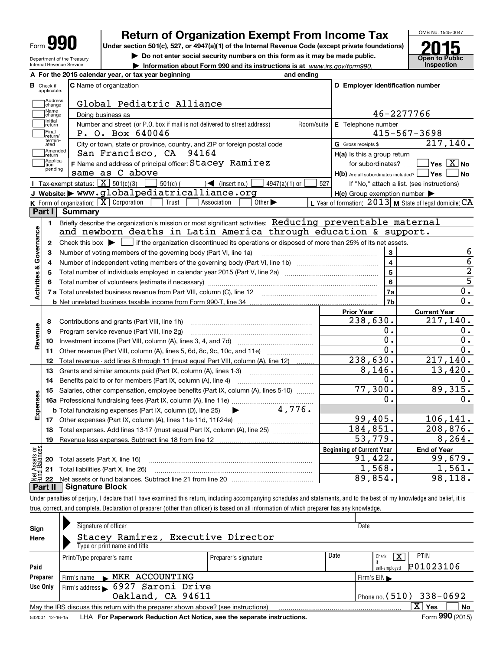| Form |  |
|------|--|
|------|--|

## **Return of Organization Exempt From Income Tax**

**Under section 501(c), 527, or 4947(a)(1) of the Internal Revenue Code (except private foundations)**

**| Do not enter social security numbers on this form as it may be made public.**

**| Information about Form 990 and its instructions is at www.irs.gov/form990.** | Inspection



Department of the Treasury Internal Revenue Service

|                         |                         | A For the 2015 calendar year, or tax year beginning                                                                                         | and ending |                                                     |                                                           |
|-------------------------|-------------------------|---------------------------------------------------------------------------------------------------------------------------------------------|------------|-----------------------------------------------------|-----------------------------------------------------------|
| В                       | Check if<br>applicable: | <b>C</b> Name of organization                                                                                                               |            | D Employer identification number                    |                                                           |
|                         | Address<br>change       | Global Pediatric Alliance                                                                                                                   |            |                                                     |                                                           |
|                         | Name<br>change          | Doing business as                                                                                                                           |            |                                                     | 46-2277766                                                |
|                         | Initial<br>return       | Number and street (or P.O. box if mail is not delivered to street address)                                                                  | Room/suite | E Telephone number                                  |                                                           |
|                         | Final<br>return/        | P. O. Box 640046                                                                                                                            |            |                                                     | $415 - 567 - 3698$                                        |
|                         | termin-<br>ated         | City or town, state or province, country, and ZIP or foreign postal code                                                                    |            | G Gross receipts \$                                 | 217, 140.                                                 |
|                         | Amended<br>return       | San Francisco, CA 94164                                                                                                                     |            | H(a) Is this a group return                         |                                                           |
|                         | Applica-<br>tion        | F Name and address of principal officer: Stacey Ramirez                                                                                     |            | for subordinates?                                   | $\sqrt{}$ Yes $\sqrt{}$ X $\sqrt{}$ No                    |
|                         | pending                 | same as C above                                                                                                                             |            | $H(b)$ Are all subordinates included?               | ∣Yes ∣<br><b>No</b>                                       |
|                         |                         | Tax-exempt status: $\boxed{\mathbf{X}}$ 501(c)(3)<br>$501(c)$ (<br>$\mathcal{L}$ (insert no.)<br>$4947(a)(1)$ or                            | 527        |                                                     | If "No," attach a list. (see instructions)                |
|                         |                         | J Website: > www.globalpediatricalliance.org                                                                                                |            | $H(c)$ Group exemption number $\blacktriangleright$ |                                                           |
|                         |                         | K Form of organization: X Corporation<br>Trust<br>Association<br>Other $\blacktriangleright$                                                |            |                                                     | L Year of formation: $2013$ M State of legal domicile: CA |
|                         | Part I                  | <b>Summary</b>                                                                                                                              |            |                                                     |                                                           |
|                         | 1.                      | Briefly describe the organization's mission or most significant activities: Reducing preventable maternal                                   |            |                                                     |                                                           |
|                         |                         | and newborn deaths in Latin America through education & support.                                                                            |            |                                                     |                                                           |
|                         | $\mathbf{2}$            | Check this box $\blacktriangleright$ $\Box$ if the organization discontinued its operations or disposed of more than 25% of its net assets. |            |                                                     |                                                           |
|                         | з                       | Number of voting members of the governing body (Part VI, line 1a)                                                                           |            | 3                                                   | 6                                                         |
|                         | 4                       |                                                                                                                                             |            | $\overline{\mathbf{4}}$                             | $\overline{6}$                                            |
|                         | 5                       |                                                                                                                                             |            | 5                                                   | $\overline{2}$                                            |
|                         |                         |                                                                                                                                             |            | 6                                                   | $\overline{5}$                                            |
| Activities & Governance |                         |                                                                                                                                             |            | 7a                                                  | 0.                                                        |
|                         |                         |                                                                                                                                             |            | 7b                                                  | $\overline{0}$ .                                          |
|                         |                         |                                                                                                                                             |            | <b>Prior Year</b>                                   | <b>Current Year</b>                                       |
|                         | 8                       | Contributions and grants (Part VIII, line 1h)                                                                                               |            | 238,630.                                            | 217,140.                                                  |
| Revenue                 | 9                       | Program service revenue (Part VIII, line 2g)                                                                                                |            | Ο.                                                  | 0.                                                        |
|                         | 10                      |                                                                                                                                             |            | $\overline{0}$ .                                    | $\overline{0}$ .                                          |
|                         | 11                      | Other revenue (Part VIII, column (A), lines 5, 6d, 8c, 9c, 10c, and 11e)                                                                    |            | О.                                                  | 0.                                                        |
|                         | 12                      | Total revenue - add lines 8 through 11 (must equal Part VIII, column (A), line 12)                                                          |            | 238,630.                                            | 217,140.                                                  |
|                         | 13                      | Grants and similar amounts paid (Part IX, column (A), lines 1-3)                                                                            |            | 8,146.                                              | 13,420.                                                   |
|                         | 14                      | Benefits paid to or for members (Part IX, column (A), line 4)                                                                               |            | Ο.                                                  | 0.                                                        |
|                         | 15                      | Salaries, other compensation, employee benefits (Part IX, column (A), lines 5-10)                                                           |            | 77,300.                                             | 89, 315.                                                  |
|                         |                         |                                                                                                                                             |            | 0.                                                  | 0.                                                        |
|                         |                         | $\blacktriangleright$ 4,776.<br><b>b</b> Total fundraising expenses (Part IX, column (D), line 25)                                          |            |                                                     |                                                           |
| Expenses                |                         |                                                                                                                                             |            | 99,405.                                             | 106, 141.                                                 |
|                         | 18                      |                                                                                                                                             |            | 184,851.                                            | 208,876.                                                  |
|                         | 19                      | Total expenses. Add lines 13-17 (must equal Part IX, column (A), line 25) [                                                                 |            | 53,779.                                             | 8, 264.                                                   |
| äğ                      |                         |                                                                                                                                             |            |                                                     |                                                           |
|                         |                         |                                                                                                                                             |            | <b>Beginning of Current Year</b><br>91,422.         | <b>End of Year</b><br>99,679.                             |
| sets                    |                         | <b>20</b> Total assets (Part X, line 16)                                                                                                    |            | 1,568.                                              | 1,561.                                                    |
|                         | 21                      | Total liabilities (Part X, line 26)                                                                                                         |            | 89,854.                                             | 98, 118.                                                  |
|                         | 22                      | <b>Signature Block</b>                                                                                                                      |            |                                                     |                                                           |

true, correct, and complete. Declaration of preparer (other than officer) is based on all information of which preparer has any knowledge.

| Sign            | Signature of officer                                                              |                      |      | Date                             |
|-----------------|-----------------------------------------------------------------------------------|----------------------|------|----------------------------------|
| Here            | Stacey Ramirez, Executive Director                                                |                      |      |                                  |
|                 | Type or print name and title                                                      |                      |      |                                  |
|                 | Print/Type preparer's name                                                        | Preparer's signature | Date | <b>PTIN</b><br>х<br>Check        |
| Paid            |                                                                                   |                      |      | P01023106<br>self-emploved       |
| Preparer        | Firm's name MKR ACCOUNTING                                                        |                      |      | Firm's $EIN \blacktriangleright$ |
| Use Only        | Firm's address 6927 Saroni Drive                                                  |                      |      |                                  |
|                 | Oakland, CA 94611                                                                 |                      |      | Phone no. $(510)$ 338-0692       |
|                 | May the IRS discuss this return with the preparer shown above? (see instructions) |                      |      | X <sup>1</sup><br>No<br>Yes      |
| 532001 12-16-15 | LHA For Paperwork Reduction Act Notice, see the separate instructions.            |                      |      | Form 990 (2015)                  |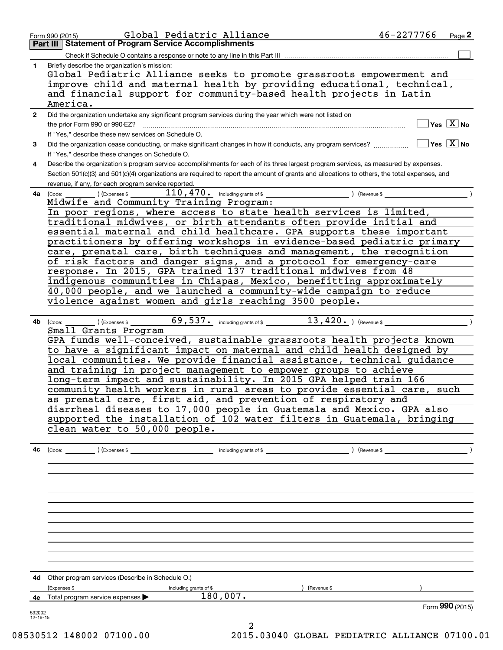|                | Global Pediatric Alliance<br>Form 990 (2015)                                                                                                 | 46-2277766 | $_{Page}$ 2                              |
|----------------|----------------------------------------------------------------------------------------------------------------------------------------------|------------|------------------------------------------|
|                | <b>Part III   Statement of Program Service Accomplishments</b>                                                                               |            |                                          |
|                | Check if Schedule O contains a response or note to any line in this Part III                                                                 |            |                                          |
| 1              | Briefly describe the organization's mission:                                                                                                 |            |                                          |
|                |                                                                                                                                              |            |                                          |
|                | Global Pediatric Alliance seeks to promote grassroots empowerment and                                                                        |            |                                          |
|                | improve child and maternal health by providing educational, technical,                                                                       |            |                                          |
|                | and financial support for community-based health projects in Latin                                                                           |            |                                          |
|                | America.                                                                                                                                     |            |                                          |
| $\mathbf{2}$   | Did the organization undertake any significant program services during the year which were not listed on                                     |            |                                          |
|                |                                                                                                                                              |            | $\sqrt{}$ Yes $\sqrt{}$ X $\sqrt{}$ No   |
|                | If "Yes," describe these new services on Schedule O.                                                                                         |            |                                          |
| 3              | Did the organization cease conducting, or make significant changes in how it conducts, any program services?                                 |            | $\blacksquare$ Yes $\boxed{\text{X}}$ No |
|                |                                                                                                                                              |            |                                          |
|                | If "Yes," describe these changes on Schedule O.                                                                                              |            |                                          |
| 4              | Describe the organization's program service accomplishments for each of its three largest program services, as measured by expenses.         |            |                                          |
|                | Section 501(c)(3) and 501(c)(4) organizations are required to report the amount of grants and allocations to others, the total expenses, and |            |                                          |
|                | revenue, if any, for each program service reported.                                                                                          |            |                                          |
| 4a             | $110$ , $470$ . Including grants of \$ ) (Revenue \$<br>(Expenses \$<br>(Code:                                                               |            |                                          |
|                | Midwife and Community Training Program:                                                                                                      |            |                                          |
|                | In poor regions, where access to state health services is limited,                                                                           |            |                                          |
|                | traditional midwives, or birth attendants often provide initial and                                                                          |            |                                          |
|                | essential maternal and child healthcare. GPA supports these important                                                                        |            |                                          |
|                |                                                                                                                                              |            |                                          |
|                | practitioners by offering workshops in evidence-based pediatric primary                                                                      |            |                                          |
|                | care, prenatal care, birth techniques and management, the recognition                                                                        |            |                                          |
|                | of risk factors and danger signs, and a protocol for emergency-care                                                                          |            |                                          |
|                | response. In 2015, GPA trained 137 traditional midwives from 48                                                                              |            |                                          |
|                | indigenous communities in Chiapas, Mexico, benefitting approximately                                                                         |            |                                          |
|                | 40,000 people, and we launched a community-wide campaign to reduce                                                                           |            |                                          |
|                | violence against women and girls reaching 3500 people.                                                                                       |            |                                          |
|                |                                                                                                                                              |            |                                          |
|                |                                                                                                                                              |            |                                          |
| 4b             | 69,537. including grants of \$ 13,420. ) (Revenue \$<br>$\sqrt{2}$ (Expenses \$<br>(Code:                                                    |            |                                          |
|                | Small Grants Program                                                                                                                         |            |                                          |
|                | GPA funds well-conceived, sustainable grassroots health projects known                                                                       |            |                                          |
|                | to have a significant impact on maternal and child health designed by                                                                        |            |                                          |
|                | local communities. We provide financial assistance, technical guidance                                                                       |            |                                          |
|                | and training in project management to empower groups to achieve                                                                              |            |                                          |
|                | long-term impact and sustainability. In 2015 GPA helped train 166                                                                            |            |                                          |
|                |                                                                                                                                              |            |                                          |
|                | community health workers in rural areas to provide essential care, such                                                                      |            |                                          |
|                | as prenatal care, first aid, and prevention of respiratory and                                                                               |            |                                          |
|                | diarrheal diseases to 17,000 people in Guatemala and Mexico. GPA also                                                                        |            |                                          |
|                | supported the installation of 102 water filters in Guatemala, bringing                                                                       |            |                                          |
|                | clean water to 50,000 people.                                                                                                                |            |                                          |
|                |                                                                                                                                              |            |                                          |
|                |                                                                                                                                              |            |                                          |
|                |                                                                                                                                              |            |                                          |
|                |                                                                                                                                              |            |                                          |
|                |                                                                                                                                              |            |                                          |
|                |                                                                                                                                              |            |                                          |
|                |                                                                                                                                              |            |                                          |
|                |                                                                                                                                              |            |                                          |
|                |                                                                                                                                              |            |                                          |
|                |                                                                                                                                              |            |                                          |
|                |                                                                                                                                              |            |                                          |
|                |                                                                                                                                              |            |                                          |
|                |                                                                                                                                              |            |                                          |
|                |                                                                                                                                              |            |                                          |
|                |                                                                                                                                              |            |                                          |
|                |                                                                                                                                              |            |                                          |
|                | 4d Other program services (Describe in Schedule O.)                                                                                          |            |                                          |
|                | (Expenses \$<br>$($ Revenue \$<br><u> 1980 - Johann Barbara, martx</u><br>including grants of \$                                             |            |                                          |
|                | 4e Total program service expenses > 180,007.                                                                                                 |            |                                          |
|                |                                                                                                                                              |            | Form 990 (2015)                          |
| 532002         |                                                                                                                                              |            |                                          |
| $12 - 16 - 15$ | $\overline{2}$                                                                                                                               |            |                                          |
|                |                                                                                                                                              |            |                                          |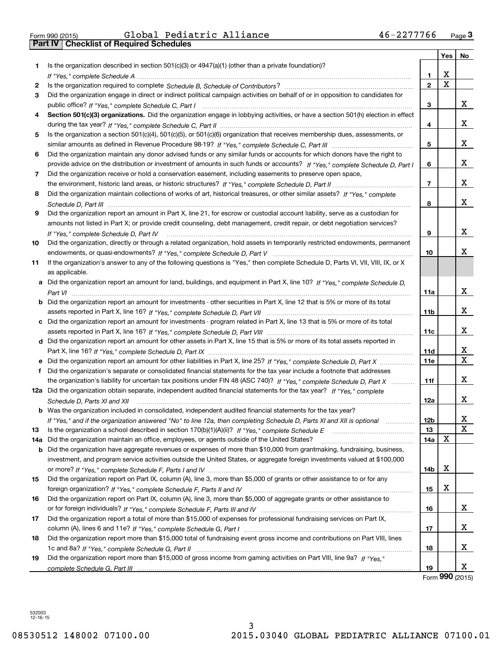| Form 990 (2015) |  |  |
|-----------------|--|--|

|     |                                                                                                                                      |                 | <b>Yes</b>            | No                           |
|-----|--------------------------------------------------------------------------------------------------------------------------------------|-----------------|-----------------------|------------------------------|
| 1   | Is the organization described in section $501(c)(3)$ or $4947(a)(1)$ (other than a private foundation)?                              |                 |                       |                              |
|     |                                                                                                                                      | 1.              | х                     |                              |
| 2   |                                                                                                                                      | $\mathbf 2$     | $\overline{\text{x}}$ |                              |
| 3   | Did the organization engage in direct or indirect political campaign activities on behalf of or in opposition to candidates for      |                 |                       |                              |
|     |                                                                                                                                      | 3               |                       | x                            |
| 4   | Section 501(c)(3) organizations. Did the organization engage in lobbying activities, or have a section 501(h) election in effect     |                 |                       |                              |
|     |                                                                                                                                      | 4               |                       | x                            |
| 5   | Is the organization a section 501(c)(4), 501(c)(5), or 501(c)(6) organization that receives membership dues, assessments, or         |                 |                       |                              |
|     |                                                                                                                                      | 5               |                       | x                            |
| 6   | Did the organization maintain any donor advised funds or any similar funds or accounts for which donors have the right to            |                 |                       |                              |
|     | provide advice on the distribution or investment of amounts in such funds or accounts? If "Yes," complete Schedule D, Part I         | 6               |                       | x                            |
| 7   | Did the organization receive or hold a conservation easement, including easements to preserve open space,                            |                 |                       |                              |
|     |                                                                                                                                      | $\overline{7}$  |                       | x                            |
| 8   | Did the organization maintain collections of works of art, historical treasures, or other similar assets? If "Yes," complete         |                 |                       |                              |
|     |                                                                                                                                      | 8               |                       | x                            |
| 9   | Did the organization report an amount in Part X, line 21, for escrow or custodial account liability, serve as a custodian for        |                 |                       |                              |
|     | amounts not listed in Part X; or provide credit counseling, debt management, credit repair, or debt negotiation services?            |                 |                       |                              |
|     | If "Yes," complete Schedule D, Part IV                                                                                               | 9               |                       | x                            |
| 10  | Did the organization, directly or through a related organization, hold assets in temporarily restricted endowments, permanent        |                 |                       |                              |
|     |                                                                                                                                      | 10              |                       | x                            |
| 11  | If the organization's answer to any of the following questions is "Yes," then complete Schedule D, Parts VI, VII, VIII, IX, or X     |                 |                       |                              |
|     | as applicable.                                                                                                                       |                 |                       |                              |
|     | a Did the organization report an amount for land, buildings, and equipment in Part X, line 10? If "Yes," complete Schedule D,        |                 |                       |                              |
|     |                                                                                                                                      | 11a             |                       | X                            |
|     | <b>b</b> Did the organization report an amount for investments - other securities in Part X, line 12 that is 5% or more of its total |                 |                       |                              |
|     |                                                                                                                                      | 11 <sub>b</sub> |                       | X.                           |
|     | c Did the organization report an amount for investments - program related in Part X, line 13 that is 5% or more of its total         |                 |                       |                              |
|     |                                                                                                                                      | 11c             |                       | x                            |
|     | d Did the organization report an amount for other assets in Part X, line 15 that is 5% or more of its total assets reported in       |                 |                       |                              |
|     |                                                                                                                                      | 11d             |                       | X<br>$\overline{\mathtt{x}}$ |
|     |                                                                                                                                      | 11e             |                       |                              |
| f   | Did the organization's separate or consolidated financial statements for the tax year include a footnote that addresses              |                 |                       |                              |
|     | the organization's liability for uncertain tax positions under FIN 48 (ASC 740)? If "Yes," complete Schedule D, Part X               | 11f             |                       | x                            |
|     | 12a Did the organization obtain separate, independent audited financial statements for the tax year? If "Yes," complete              |                 |                       | X                            |
|     | Schedule D, Parts XI and XII                                                                                                         | 12a             |                       |                              |
|     | <b>b</b> Was the organization included in consolidated, independent audited financial statements for the tax year?                   | 12b             |                       | х                            |
| 13  | If "Yes," and if the organization answered "No" to line 12a, then completing Schedule D, Parts XI and XII is optional                | 13              |                       | $\mathbf X$                  |
| 14a | Did the organization maintain an office, employees, or agents outside of the United States?                                          | 14a             | X                     |                              |
|     | b Did the organization have aggregate revenues or expenses of more than \$10,000 from grantmaking, fundraising, business,            |                 |                       |                              |
|     | investment, and program service activities outside the United States, or aggregate foreign investments valued at \$100,000           |                 |                       |                              |
|     |                                                                                                                                      | 14b             | x                     |                              |
| 15  | Did the organization report on Part IX, column (A), line 3, more than \$5,000 of grants or other assistance to or for any            |                 |                       |                              |
|     |                                                                                                                                      | 15              | х                     |                              |
| 16  | Did the organization report on Part IX, column (A), line 3, more than \$5,000 of aggregate grants or other assistance to             |                 |                       |                              |
|     |                                                                                                                                      | 16              |                       | X                            |
| 17  | Did the organization report a total of more than \$15,000 of expenses for professional fundraising services on Part IX,              |                 |                       |                              |
|     |                                                                                                                                      | 17              |                       | x                            |
| 18  | Did the organization report more than \$15,000 total of fundraising event gross income and contributions on Part VIII, lines         |                 |                       |                              |
|     |                                                                                                                                      | 18              |                       | x                            |
| 19  | Did the organization report more than \$15,000 of gross income from gaming activities on Part VIII, line 9a? If "Yes."               |                 |                       |                              |
|     |                                                                                                                                      | 19              |                       | x                            |

Form (2015) **990**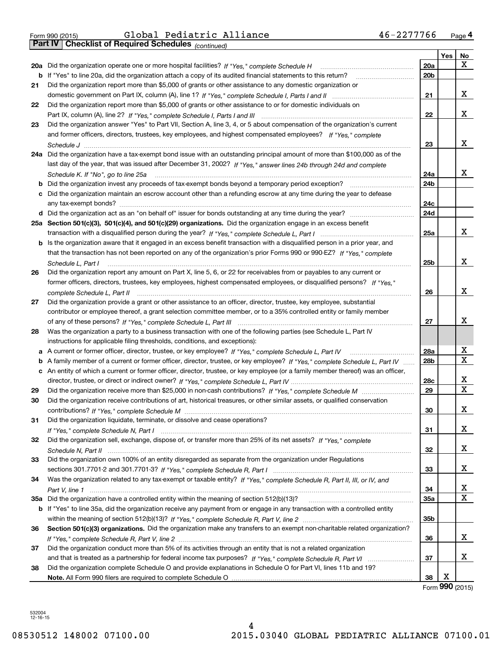| Form 990 (2015) |  |  |
|-----------------|--|--|

*(continued)*

|    |                                                                                                                                   |                 | Yes | No          |
|----|-----------------------------------------------------------------------------------------------------------------------------------|-----------------|-----|-------------|
|    | 20a Did the organization operate one or more hospital facilities? If "Yes," complete Schedule H                                   | <b>20a</b>      |     | x           |
|    | b If "Yes" to line 20a, did the organization attach a copy of its audited financial statements to this return?                    | 20 <sub>b</sub> |     |             |
| 21 | Did the organization report more than \$5,000 of grants or other assistance to any domestic organization or                       |                 |     |             |
|    |                                                                                                                                   | 21              |     | х           |
| 22 | Did the organization report more than \$5,000 of grants or other assistance to or for domestic individuals on                     |                 |     |             |
|    |                                                                                                                                   | 22              |     | x           |
| 23 | Did the organization answer "Yes" to Part VII, Section A, line 3, 4, or 5 about compensation of the organization's current        |                 |     |             |
|    | and former officers, directors, trustees, key employees, and highest compensated employees? If "Yes," complete                    |                 |     |             |
|    |                                                                                                                                   | 23              |     | x           |
|    | 24a Did the organization have a tax-exempt bond issue with an outstanding principal amount of more than \$100,000 as of the       |                 |     |             |
|    | last day of the year, that was issued after December 31, 2002? If "Yes," answer lines 24b through 24d and complete                |                 |     |             |
|    | Schedule K. If "No", go to line 25a                                                                                               | 24a             |     | x           |
|    |                                                                                                                                   | 24 <sub>b</sub> |     |             |
|    | c Did the organization maintain an escrow account other than a refunding escrow at any time during the year to defease            |                 |     |             |
|    |                                                                                                                                   | 24c             |     |             |
|    |                                                                                                                                   | 24d             |     |             |
|    | 25a Section 501(c)(3), 501(c)(4), and 501(c)(29) organizations. Did the organization engage in an excess benefit                  |                 |     |             |
|    |                                                                                                                                   | 25a             |     | x           |
|    | b Is the organization aware that it engaged in an excess benefit transaction with a disqualified person in a prior year, and      |                 |     |             |
|    | that the transaction has not been reported on any of the organization's prior Forms 990 or 990-EZ? If "Yes," complete             |                 |     |             |
|    | Schedule L. Part I                                                                                                                | 25b             |     | x           |
| 26 | Did the organization report any amount on Part X, line 5, 6, or 22 for receivables from or payables to any current or             |                 |     |             |
|    | former officers, directors, trustees, key employees, highest compensated employees, or disqualified persons? If "Yes."            |                 |     |             |
|    | complete Schedule L, Part II                                                                                                      | 26              |     | x           |
| 27 | Did the organization provide a grant or other assistance to an officer, director, trustee, key employee, substantial              |                 |     |             |
|    | contributor or employee thereof, a grant selection committee member, or to a 35% controlled entity or family member               |                 |     |             |
|    |                                                                                                                                   | 27              |     | x           |
| 28 | Was the organization a party to a business transaction with one of the following parties (see Schedule L, Part IV                 |                 |     |             |
|    | instructions for applicable filing thresholds, conditions, and exceptions):                                                       |                 |     |             |
|    | a A current or former officer, director, trustee, or key employee? If "Yes," complete Schedule L, Part IV                         | 28a             |     | х           |
|    | b A family member of a current or former officer, director, trustee, or key employee? If "Yes," complete Schedule L, Part IV      | 28 <sub>b</sub> |     | X           |
|    | c An entity of which a current or former officer, director, trustee, or key employee (or a family member thereof) was an officer, |                 |     |             |
|    |                                                                                                                                   | 28c             |     | х           |
| 29 |                                                                                                                                   | 29              |     | $\mathbf X$ |
| 30 | Did the organization receive contributions of art, historical treasures, or other similar assets, or qualified conservation       |                 |     |             |
|    |                                                                                                                                   | 30              |     | х           |
| 31 | Did the organization liquidate, terminate, or dissolve and cease operations?                                                      |                 |     |             |
|    |                                                                                                                                   | 31              |     | X           |
| 32 | Did the organization sell, exchange, dispose of, or transfer more than 25% of its net assets? If "Yes." complete                  |                 |     |             |
|    |                                                                                                                                   | 32              |     | x           |
| 33 | Did the organization own 100% of an entity disregarded as separate from the organization under Regulations                        |                 |     | x           |
|    |                                                                                                                                   | 33              |     |             |
| 34 | Was the organization related to any tax-exempt or taxable entity? If "Yes," complete Schedule R, Part II, III, or IV, and         |                 |     |             |
|    | 35a Did the organization have a controlled entity within the meaning of section 512(b)(13)?                                       | 34              |     | х<br>X      |
|    |                                                                                                                                   | 35a             |     |             |
|    | b If "Yes" to line 35a, did the organization receive any payment from or engage in any transaction with a controlled entity       |                 |     |             |
|    | Section 501(c)(3) organizations. Did the organization make any transfers to an exempt non-charitable related organization?        | 35b             |     |             |
| 36 |                                                                                                                                   | 36              |     | x           |
|    | Did the organization conduct more than 5% of its activities through an entity that is not a related organization                  |                 |     |             |
| 37 |                                                                                                                                   | 37              |     | x           |
|    |                                                                                                                                   |                 |     |             |
| 38 | Did the organization complete Schedule O and provide explanations in Schedule O for Part VI, lines 11b and 19?                    | 38              | Х   |             |
|    |                                                                                                                                   |                 |     |             |

Form (2015) **990**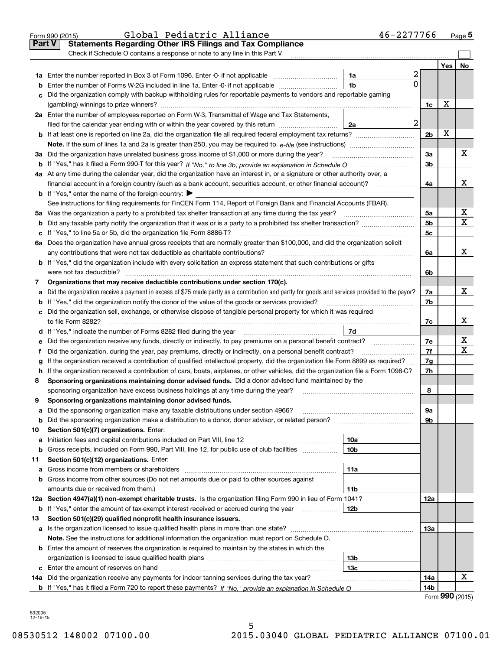|               | 46-2277766<br>Global Pediatric Alliance<br>Form 990 (2015)                                                                                                                                                                                   |                |     | $_{\text{Page}}$ 5 |
|---------------|----------------------------------------------------------------------------------------------------------------------------------------------------------------------------------------------------------------------------------------------|----------------|-----|--------------------|
| <b>Part V</b> | <b>Statements Regarding Other IRS Filings and Tax Compliance</b>                                                                                                                                                                             |                |     |                    |
|               | Check if Schedule O contains a response or note to any line in this Part V                                                                                                                                                                   |                |     |                    |
|               |                                                                                                                                                                                                                                              |                | Yes | No                 |
|               | 2<br>1a                                                                                                                                                                                                                                      |                |     |                    |
| b             | 0<br>Enter the number of Forms W-2G included in line 1a. Enter -0- if not applicable<br>1b                                                                                                                                                   |                |     |                    |
| c             | Did the organization comply with backup withholding rules for reportable payments to vendors and reportable gaming                                                                                                                           |                |     |                    |
|               |                                                                                                                                                                                                                                              | 1c             | х   |                    |
|               | 2a Enter the number of employees reported on Form W-3, Transmittal of Wage and Tax Statements,                                                                                                                                               |                |     |                    |
|               | $\overline{a}$<br>filed for the calendar year ending with or within the year covered by this return<br>2a                                                                                                                                    |                |     |                    |
|               |                                                                                                                                                                                                                                              | 2 <sub>b</sub> | X   |                    |
|               |                                                                                                                                                                                                                                              |                |     |                    |
|               | 3a Did the organization have unrelated business gross income of \$1,000 or more during the year?                                                                                                                                             | 3a             |     | х                  |
|               |                                                                                                                                                                                                                                              | 3 <sub>b</sub> |     |                    |
|               | 4a At any time during the calendar year, did the organization have an interest in, or a signature or other authority over, a                                                                                                                 |                |     |                    |
|               | financial account in a foreign country (such as a bank account, securities account, or other financial account)?                                                                                                                             | 4a             |     | x                  |
|               | <b>b</b> If "Yes," enter the name of the foreign country: $\blacktriangleright$                                                                                                                                                              |                |     |                    |
|               | See instructions for filing requirements for FinCEN Form 114, Report of Foreign Bank and Financial Accounts (FBAR).                                                                                                                          |                |     |                    |
|               |                                                                                                                                                                                                                                              | 5a             |     | х                  |
| b             |                                                                                                                                                                                                                                              | 5 <sub>b</sub> |     | x                  |
| c             |                                                                                                                                                                                                                                              | 5c             |     |                    |
|               | 6a Does the organization have annual gross receipts that are normally greater than \$100,000, and did the organization solicit                                                                                                               |                |     |                    |
|               | any contributions that were not tax deductible as charitable contributions?                                                                                                                                                                  | 6a             |     | x                  |
|               | <b>b</b> If "Yes," did the organization include with every solicitation an express statement that such contributions or gifts                                                                                                                |                |     |                    |
|               | were not tax deductible?                                                                                                                                                                                                                     | 6b             |     |                    |
| 7             | Organizations that may receive deductible contributions under section 170(c).                                                                                                                                                                |                |     | x                  |
| a             | Did the organization receive a payment in excess of \$75 made partly as a contribution and partly for goods and services provided to the payor?                                                                                              | 7a             |     |                    |
| b             | If "Yes," did the organization notify the donor of the value of the goods or services provided?                                                                                                                                              | 7b             |     |                    |
|               | c Did the organization sell, exchange, or otherwise dispose of tangible personal property for which it was required                                                                                                                          |                |     | х                  |
|               | 7d                                                                                                                                                                                                                                           | 7c             |     |                    |
|               |                                                                                                                                                                                                                                              |                |     | х                  |
| е             | Did the organization receive any funds, directly or indirectly, to pay premiums on a personal benefit contract?                                                                                                                              | 7e<br>7f       |     | х                  |
| f             | Did the organization, during the year, pay premiums, directly or indirectly, on a personal benefit contract?                                                                                                                                 |                |     |                    |
| g             | If the organization received a contribution of qualified intellectual property, did the organization file Form 8899 as required?                                                                                                             | 7g<br>7h       |     |                    |
| 8             | h If the organization received a contribution of cars, boats, airplanes, or other vehicles, did the organization file a Form 1098-C?<br>Sponsoring organizations maintaining donor advised funds. Did a donor advised fund maintained by the |                |     |                    |
|               | sponsoring organization have excess business holdings at any time during the year?                                                                                                                                                           | 8              |     |                    |
|               | Sponsoring organizations maintaining donor advised funds.                                                                                                                                                                                    |                |     |                    |
| а             | Did the sponsoring organization make any taxable distributions under section 4966?                                                                                                                                                           | 9a             |     |                    |
| b             | Did the sponsoring organization make a distribution to a donor, donor advisor, or related person?                                                                                                                                            | 9b             |     |                    |
| 10            | Section 501(c)(7) organizations. Enter:                                                                                                                                                                                                      |                |     |                    |
| а             | 10a<br>Initiation fees and capital contributions included on Part VIII, line 12 <i>manuarous controllers</i>                                                                                                                                 |                |     |                    |
| b             | 10 <sub>b</sub><br>Gross receipts, included on Form 990, Part VIII, line 12, for public use of club facilities                                                                                                                               |                |     |                    |
| 11            | Section 501(c)(12) organizations. Enter:                                                                                                                                                                                                     |                |     |                    |
| а             | 11a                                                                                                                                                                                                                                          |                |     |                    |
| b             | Gross income from other sources (Do not net amounts due or paid to other sources against                                                                                                                                                     |                |     |                    |
|               | amounts due or received from them.)<br>11b                                                                                                                                                                                                   |                |     |                    |
|               | 12a Section 4947(a)(1) non-exempt charitable trusts. Is the organization filing Form 990 in lieu of Form 1041?                                                                                                                               | 12a            |     |                    |
|               | 12b<br><b>b</b> If "Yes," enter the amount of tax-exempt interest received or accrued during the year                                                                                                                                        |                |     |                    |
| 13            | Section 501(c)(29) qualified nonprofit health insurance issuers.                                                                                                                                                                             |                |     |                    |
|               | a Is the organization licensed to issue qualified health plans in more than one state?                                                                                                                                                       | 13а            |     |                    |
|               | Note. See the instructions for additional information the organization must report on Schedule O.                                                                                                                                            |                |     |                    |
|               | <b>b</b> Enter the amount of reserves the organization is required to maintain by the states in which the                                                                                                                                    |                |     |                    |
|               | 13b                                                                                                                                                                                                                                          |                |     |                    |
|               | 13с                                                                                                                                                                                                                                          |                |     |                    |
|               | 14a Did the organization receive any payments for indoor tanning services during the tax year?                                                                                                                                               | 14a            |     | x                  |
|               |                                                                                                                                                                                                                                              | 14b            |     |                    |
|               |                                                                                                                                                                                                                                              |                |     | QQQ                |

Form (2015) **990**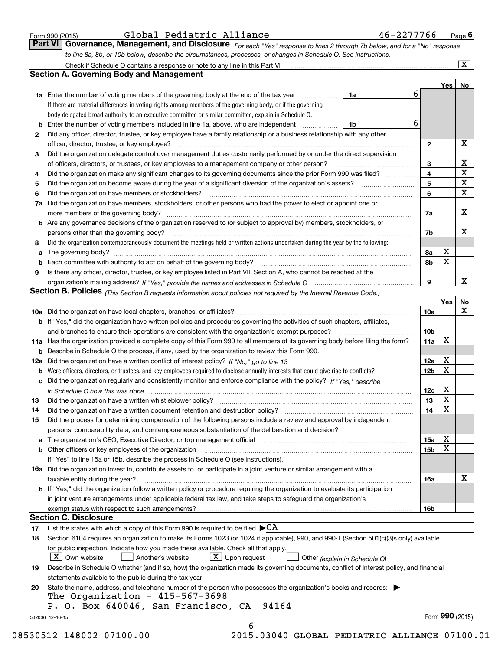|  | Form 990 (2015) |  |
|--|-----------------|--|
|  |                 |  |

| Form 990 (2015) | Global Pediatric Alliance                                                                                                     |  | 46-2277766 | $P$ <sub>age</sub> $6$ |
|-----------------|-------------------------------------------------------------------------------------------------------------------------------|--|------------|------------------------|
|                 | Part VI   Governance, Management, and Disclosure For each "Yes" response to lines 2 through 7b below, and for a "No" response |  |            |                        |
|                 | to line 8a, 8b, or 10b below, describe the circumstances, processes, or changes in Schedule O. See instructions.              |  |            |                        |

|    |                                                                                                                                                                            |                                                                                                                   |   |                 | Yes             | No                      |  |
|----|----------------------------------------------------------------------------------------------------------------------------------------------------------------------------|-------------------------------------------------------------------------------------------------------------------|---|-----------------|-----------------|-------------------------|--|
|    | <b>1a</b> Enter the number of voting members of the governing body at the end of the tax year <i>manumum</i>                                                               | 1a                                                                                                                | 6 |                 |                 |                         |  |
|    | If there are material differences in voting rights among members of the governing body, or if the governing                                                                |                                                                                                                   |   |                 |                 |                         |  |
|    | body delegated broad authority to an executive committee or similar committee, explain in Schedule O.                                                                      |                                                                                                                   |   |                 |                 |                         |  |
|    | <b>b</b> Enter the number of voting members included in line 1a, above, who are independent <i>manumum</i>                                                                 | 1b                                                                                                                | 6 |                 |                 |                         |  |
| 2  | Did any officer, director, trustee, or key employee have a family relationship or a business relationship with any other                                                   |                                                                                                                   |   |                 |                 |                         |  |
|    | officer, director, trustee, or key employee?                                                                                                                               |                                                                                                                   |   | $\mathbf{2}$    |                 | X                       |  |
| 3  | Did the organization delegate control over management duties customarily performed by or under the direct supervision                                                      |                                                                                                                   |   |                 |                 |                         |  |
|    |                                                                                                                                                                            |                                                                                                                   |   | 3               |                 | X                       |  |
| 4  | Did the organization make any significant changes to its governing documents since the prior Form 990 was filed?                                                           |                                                                                                                   |   | 4               |                 | $\overline{\mathbf{x}}$ |  |
| 5  |                                                                                                                                                                            |                                                                                                                   |   | 5               |                 | $\mathbf X$             |  |
| 6  |                                                                                                                                                                            |                                                                                                                   |   |                 |                 | $\mathbf X$             |  |
|    |                                                                                                                                                                            | 7a Did the organization have members, stockholders, or other persons who had the power to elect or appoint one or |   |                 |                 |                         |  |
|    |                                                                                                                                                                            |                                                                                                                   |   |                 |                 |                         |  |
|    | <b>b</b> Are any governance decisions of the organization reserved to (or subject to approval by) members, stockholders, or                                                |                                                                                                                   |   |                 |                 |                         |  |
|    | persons other than the governing body?                                                                                                                                     |                                                                                                                   |   | 7b              |                 | X                       |  |
| 8  | Did the organization contemporaneously document the meetings held or written actions undertaken during the year by the following:                                          |                                                                                                                   |   |                 |                 |                         |  |
| a  |                                                                                                                                                                            |                                                                                                                   |   | 8a              | X               |                         |  |
|    |                                                                                                                                                                            |                                                                                                                   |   | 8b              | X               |                         |  |
| 9  | Is there any officer, director, trustee, or key employee listed in Part VII, Section A, who cannot be reached at the                                                       |                                                                                                                   |   |                 |                 |                         |  |
|    |                                                                                                                                                                            |                                                                                                                   |   | 9               |                 | x                       |  |
|    | Section B. Policies (This Section B requests information about policies not required by the Internal Revenue Code.)                                                        |                                                                                                                   |   |                 |                 |                         |  |
|    |                                                                                                                                                                            |                                                                                                                   |   |                 | Yes∣            | No                      |  |
|    |                                                                                                                                                                            |                                                                                                                   |   | 10a             |                 | X                       |  |
|    | <b>b</b> If "Yes," did the organization have written policies and procedures governing the activities of such chapters, affiliates,                                        |                                                                                                                   |   |                 |                 |                         |  |
|    |                                                                                                                                                                            |                                                                                                                   |   | 10 <sub>b</sub> |                 |                         |  |
|    | 11a Has the organization provided a complete copy of this Form 990 to all members of its governing body before filing the form?                                            |                                                                                                                   |   | 11a             | $\mathbf X$     |                         |  |
|    | <b>b</b> Describe in Schedule O the process, if any, used by the organization to review this Form 990.                                                                     |                                                                                                                   |   |                 |                 |                         |  |
|    |                                                                                                                                                                            |                                                                                                                   |   | 12a             | X               |                         |  |
| b  |                                                                                                                                                                            |                                                                                                                   |   | 12b             | X               |                         |  |
|    | c Did the organization regularly and consistently monitor and enforce compliance with the policy? If "Yes," describe                                                       |                                                                                                                   |   |                 |                 |                         |  |
|    |                                                                                                                                                                            |                                                                                                                   |   | 12c             | X               |                         |  |
| 13 | in Schedule O how this was done measured and contained a state of the state of the state of the state of the s                                                             |                                                                                                                   |   | 13              | X               |                         |  |
| 14 | Did the organization have a written document retention and destruction policy? manufactured and the organization have a written document retention and destruction policy? |                                                                                                                   |   | 14              | $\mathbf X$     |                         |  |
|    |                                                                                                                                                                            |                                                                                                                   |   |                 |                 |                         |  |
| 15 | Did the process for determining compensation of the following persons include a review and approval by independent                                                         |                                                                                                                   |   |                 |                 |                         |  |
|    | persons, comparability data, and contemporaneous substantiation of the deliberation and decision?                                                                          |                                                                                                                   |   |                 | X               |                         |  |
|    |                                                                                                                                                                            |                                                                                                                   |   | 15a             | $\mathbf X$     |                         |  |
|    | <b>b</b> Other officers or key employees of the organization                                                                                                               |                                                                                                                   |   | 15b             |                 |                         |  |
|    | If "Yes" to line 15a or 15b, describe the process in Schedule O (see instructions).                                                                                        |                                                                                                                   |   |                 |                 |                         |  |
|    | 16a Did the organization invest in, contribute assets to, or participate in a joint venture or similar arrangement with a                                                  |                                                                                                                   |   |                 |                 | X                       |  |
|    | taxable entity during the year?                                                                                                                                            |                                                                                                                   |   | 16a             |                 |                         |  |
|    | b If "Yes," did the organization follow a written policy or procedure requiring the organization to evaluate its participation                                             |                                                                                                                   |   |                 |                 |                         |  |
|    | in joint venture arrangements under applicable federal tax law, and take steps to safeguard the organization's                                                             |                                                                                                                   |   |                 |                 |                         |  |
|    |                                                                                                                                                                            |                                                                                                                   |   | 16b             |                 |                         |  |
|    | <b>Section C. Disclosure</b>                                                                                                                                               |                                                                                                                   |   |                 |                 |                         |  |
| 17 | List the states with which a copy of this Form 990 is required to be filed $\blacktriangleright$ CA                                                                        |                                                                                                                   |   |                 |                 |                         |  |
| 18 | Section 6104 requires an organization to make its Forms 1023 (or 1024 if applicable), 990, and 990-T (Section 501(c)(3)s only) available                                   |                                                                                                                   |   |                 |                 |                         |  |
|    | for public inspection. Indicate how you made these available. Check all that apply.                                                                                        |                                                                                                                   |   |                 |                 |                         |  |
|    | $\vert X \vert$ Own website<br>$X$ Upon request<br>Another's website                                                                                                       | Other (explain in Schedule O)                                                                                     |   |                 |                 |                         |  |
| 19 | Describe in Schedule O whether (and if so, how) the organization made its governing documents, conflict of interest policy, and financial                                  |                                                                                                                   |   |                 |                 |                         |  |
|    | statements available to the public during the tax year.                                                                                                                    |                                                                                                                   |   |                 |                 |                         |  |
| 20 | State the name, address, and telephone number of the person who possesses the organization's books and records:                                                            |                                                                                                                   |   |                 |                 |                         |  |
|    | The Organization - $415-567-3698$                                                                                                                                          |                                                                                                                   |   |                 |                 |                         |  |
|    | 94164<br>P. O. Box 640046, San Francisco,<br>CA                                                                                                                            |                                                                                                                   |   |                 |                 |                         |  |
|    | 532006 12-16-15                                                                                                                                                            |                                                                                                                   |   |                 | Form 990 (2015) |                         |  |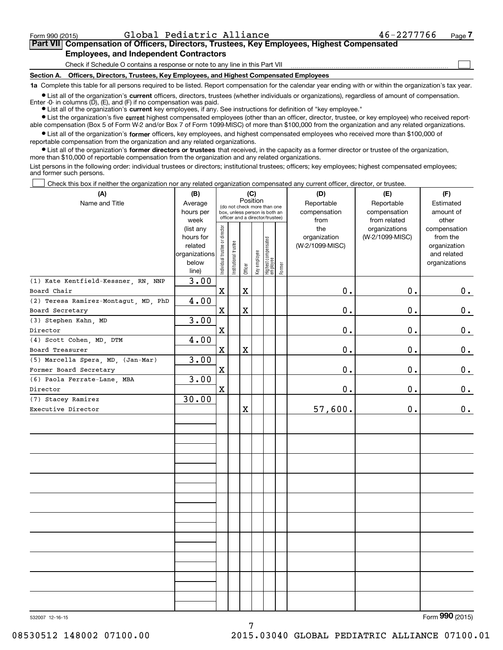$\mathcal{L}^{\text{max}}$ 

## **7Part VII Compensation of Officers, Directors, Trustees, Key Employees, Highest Compensated Employees, and Independent Contractors**

Check if Schedule O contains a response or note to any line in this Part VII

**Section A. Officers, Directors, Trustees, Key Employees, and Highest Compensated Employees**

**1a**  Complete this table for all persons required to be listed. Report compensation for the calendar year ending with or within the organization's tax year.

**•** List all of the organization's current officers, directors, trustees (whether individuals or organizations), regardless of amount of compensation. Enter -0- in columns  $(D)$ ,  $(E)$ , and  $(F)$  if no compensation was paid.

● List all of the organization's **current** key employees, if any. See instructions for definition of "key employee."

**•** List the organization's five current highest compensated employees (other than an officer, director, trustee, or key employee) who received reportable compensation (Box 5 of Form W-2 and/or Box 7 of Form 1099-MISC) of more than \$100,000 from the organization and any related organizations.

 $\bullet$  List all of the organization's **former** officers, key employees, and highest compensated employees who received more than \$100,000 of reportable compensation from the organization and any related organizations.

**•** List all of the organization's former directors or trustees that received, in the capacity as a former director or trustee of the organization, more than \$10,000 of reportable compensation from the organization and any related organizations.

List persons in the following order: individual trustees or directors; institutional trustees; officers; key employees; highest compensated employees; and former such persons.

Check this box if neither the organization nor any related organization compensated any current officer, director, or trustee.  $\mathcal{L}^{\text{max}}$ 

| (A)                                                     | (B)                                                                          | (C)<br>Position                |                                                              |         |              |                                  |                            | (D)                                            | (E)                                              | (F)                                                                               |  |  |
|---------------------------------------------------------|------------------------------------------------------------------------------|--------------------------------|--------------------------------------------------------------|---------|--------------|----------------------------------|----------------------------|------------------------------------------------|--------------------------------------------------|-----------------------------------------------------------------------------------|--|--|
| Name and Title                                          | Average<br>hours per                                                         |                                | (do not check more than one<br>box, unless person is both an |         |              |                                  | Reportable<br>compensation | Reportable<br>compensation                     | Estimated<br>amount of                           |                                                                                   |  |  |
|                                                         | week<br>(list any<br>hours for<br>related<br>organizations<br>below<br>line) | Individual trustee or director | officer and a director/trustee)<br>Institutional trustee     | Officer | Key employee | Highest compensated<br> employee | Former                     | from<br>the<br>organization<br>(W-2/1099-MISC) | from related<br>organizations<br>(W-2/1099-MISC) | other<br>compensation<br>from the<br>organization<br>and related<br>organizations |  |  |
| (1) Kate Kentfield-Kessner, RN, NNP                     | 3.00                                                                         |                                |                                                              |         |              |                                  |                            |                                                |                                                  |                                                                                   |  |  |
| Board Chair                                             |                                                                              | $\mathbf x$                    |                                                              | X       |              |                                  |                            | 0.                                             | 0.                                               | $\mathbf 0$ .                                                                     |  |  |
| (2) Teresa Ramirez-Montagut, MD, PhD<br>Board Secretary | 4.00                                                                         | X                              |                                                              | X       |              |                                  |                            | 0.                                             | 0.                                               | $\mathbf 0$ .                                                                     |  |  |
| (3) Stephen Kahn, MD                                    | 3.00                                                                         |                                |                                                              |         |              |                                  |                            |                                                |                                                  |                                                                                   |  |  |
| Director                                                |                                                                              | $\mathbf x$                    |                                                              |         |              |                                  |                            | 0.                                             | 0.                                               | $\mathbf 0$ .                                                                     |  |  |
| (4) Scott Cohen, MD, DTM                                | 4.00                                                                         |                                |                                                              |         |              |                                  |                            |                                                |                                                  |                                                                                   |  |  |
| Board Treasurer                                         |                                                                              | $\mathbf x$                    |                                                              | X       |              |                                  |                            | 0.                                             | 0.                                               | $\mathbf 0$ .                                                                     |  |  |
| (5) Marcella Spera, MD, (Jan-Mar)                       | 3.00                                                                         |                                |                                                              |         |              |                                  |                            |                                                |                                                  |                                                                                   |  |  |
| Former Board Secretary                                  |                                                                              | $\mathbf x$                    |                                                              |         |              |                                  |                            | 0.                                             | 0.                                               | $\mathbf 0$ .                                                                     |  |  |
| (6) Paola Ferrate-Lane, MBA                             | 3.00                                                                         |                                |                                                              |         |              |                                  |                            |                                                |                                                  |                                                                                   |  |  |
| Director                                                |                                                                              | $\mathbf x$                    |                                                              |         |              |                                  |                            | 0.                                             | 0.                                               | $0_{.}$                                                                           |  |  |
| (7) Stacey Ramirez                                      | 30.00                                                                        |                                |                                                              |         |              |                                  |                            |                                                |                                                  |                                                                                   |  |  |
| Executive Director                                      |                                                                              |                                |                                                              | X       |              |                                  |                            | 57,600.                                        | 0.                                               | $\mathbf 0$ .                                                                     |  |  |
|                                                         |                                                                              |                                |                                                              |         |              |                                  |                            |                                                |                                                  |                                                                                   |  |  |
|                                                         |                                                                              |                                |                                                              |         |              |                                  |                            |                                                |                                                  |                                                                                   |  |  |
|                                                         |                                                                              |                                |                                                              |         |              |                                  |                            |                                                |                                                  |                                                                                   |  |  |
|                                                         |                                                                              |                                |                                                              |         |              |                                  |                            |                                                |                                                  |                                                                                   |  |  |
|                                                         |                                                                              |                                |                                                              |         |              |                                  |                            |                                                |                                                  |                                                                                   |  |  |
|                                                         |                                                                              |                                |                                                              |         |              |                                  |                            |                                                |                                                  |                                                                                   |  |  |
|                                                         |                                                                              |                                |                                                              |         |              |                                  |                            |                                                |                                                  |                                                                                   |  |  |
|                                                         |                                                                              |                                |                                                              |         |              |                                  |                            |                                                |                                                  |                                                                                   |  |  |
|                                                         |                                                                              |                                |                                                              |         |              |                                  |                            |                                                |                                                  |                                                                                   |  |  |
|                                                         |                                                                              |                                |                                                              |         |              |                                  |                            |                                                |                                                  |                                                                                   |  |  |
|                                                         |                                                                              |                                |                                                              |         |              |                                  |                            |                                                |                                                  |                                                                                   |  |  |
|                                                         |                                                                              |                                |                                                              |         |              |                                  |                            |                                                |                                                  |                                                                                   |  |  |
|                                                         |                                                                              |                                |                                                              |         |              |                                  |                            |                                                |                                                  |                                                                                   |  |  |
|                                                         |                                                                              |                                |                                                              |         |              |                                  |                            |                                                |                                                  |                                                                                   |  |  |
|                                                         |                                                                              |                                |                                                              |         |              |                                  |                            |                                                |                                                  |                                                                                   |  |  |
|                                                         |                                                                              |                                |                                                              |         |              |                                  |                            |                                                |                                                  |                                                                                   |  |  |

532007 12-16-15

Form (2015) **990**

08530512 148002 07100.00 2015.03040 GLOBAL PEDIATRIC ALLIANCE 07100.01

7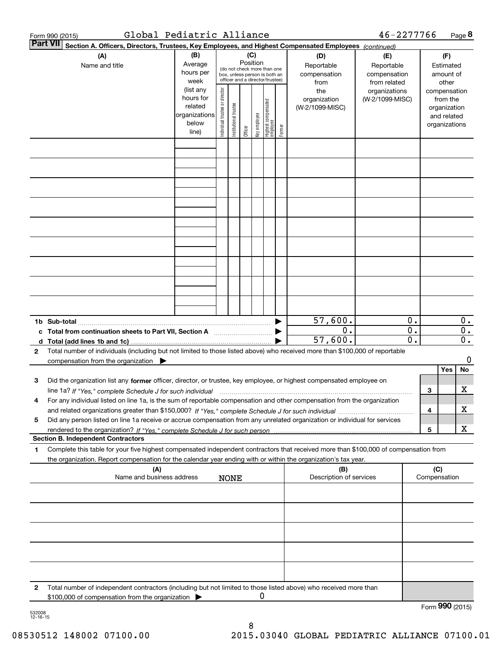|                 | Global Pediatric Alliance<br>Form 990 (2015)                                                                                                                                      |                                                                      |                                                                                                                                                         |             |  |                                                |                                                  |                                   | 46-2277766 |                                                                                   |                               |                 | Page 8                                        |
|-----------------|-----------------------------------------------------------------------------------------------------------------------------------------------------------------------------------|----------------------------------------------------------------------|---------------------------------------------------------------------------------------------------------------------------------------------------------|-------------|--|------------------------------------------------|--------------------------------------------------|-----------------------------------|------------|-----------------------------------------------------------------------------------|-------------------------------|-----------------|-----------------------------------------------|
| <b>Part VII</b> | Section A. Officers, Directors, Trustees, Key Employees, and Highest Compensated Employees (continued)                                                                            |                                                                      |                                                                                                                                                         |             |  |                                                |                                                  |                                   |            |                                                                                   |                               |                 |                                               |
|                 | (A)<br>Name and title                                                                                                                                                             | (B)<br>Average<br>hours per<br>week                                  | (C)<br>(D)<br>Position<br>Reportable<br>(do not check more than one<br>compensation<br>box, unless person is both an<br>officer and a director/trustee) |             |  |                                                |                                                  | (E)<br>Reportable<br>compensation |            |                                                                                   | (F)<br>Estimated<br>amount of |                 |                                               |
|                 |                                                                                                                                                                                   | (list any<br>hours for<br>related<br>organizations<br>below<br>line) | Individual trustee or director<br>Highest compensated<br>employee<br>Institutional trustee<br>Key employee<br>Former<br>Officer                         |             |  | from<br>the<br>organization<br>(W-2/1099-MISC) | from related<br>organizations<br>(W-2/1099-MISC) |                                   |            | other<br>compensation<br>from the<br>organization<br>and related<br>organizations |                               |                 |                                               |
|                 |                                                                                                                                                                                   |                                                                      |                                                                                                                                                         |             |  |                                                |                                                  |                                   |            |                                                                                   |                               |                 |                                               |
|                 |                                                                                                                                                                                   |                                                                      |                                                                                                                                                         |             |  |                                                |                                                  |                                   |            |                                                                                   |                               |                 |                                               |
|                 |                                                                                                                                                                                   |                                                                      |                                                                                                                                                         |             |  |                                                |                                                  |                                   |            |                                                                                   |                               |                 |                                               |
|                 |                                                                                                                                                                                   |                                                                      |                                                                                                                                                         |             |  |                                                |                                                  |                                   |            |                                                                                   |                               |                 |                                               |
|                 |                                                                                                                                                                                   |                                                                      |                                                                                                                                                         |             |  |                                                |                                                  |                                   |            |                                                                                   |                               |                 |                                               |
|                 |                                                                                                                                                                                   |                                                                      |                                                                                                                                                         |             |  |                                                |                                                  |                                   |            |                                                                                   |                               |                 |                                               |
|                 |                                                                                                                                                                                   |                                                                      |                                                                                                                                                         |             |  |                                                |                                                  |                                   |            |                                                                                   |                               |                 |                                               |
|                 | 1b Sub-total                                                                                                                                                                      |                                                                      |                                                                                                                                                         |             |  |                                                |                                                  | 57,600.                           |            | 0.                                                                                |                               |                 | 0.                                            |
| d               | Total (add lines 1b and 1c)                                                                                                                                                       |                                                                      |                                                                                                                                                         |             |  |                                                |                                                  | $\overline{0}$ .<br>57,600.       |            | $\overline{0}$ .<br>$\overline{0}$ .                                              |                               |                 | $\overline{\mathbf{0}}$ .<br>$\overline{0}$ . |
| $\mathbf{2}$    | Total number of individuals (including but not limited to those listed above) who received more than \$100,000 of reportable<br>compensation from the organization                |                                                                      |                                                                                                                                                         |             |  |                                                |                                                  |                                   |            |                                                                                   |                               |                 | 0                                             |
| З               | Did the organization list any former officer, director, or trustee, key employee, or highest compensated employee on                                                              |                                                                      |                                                                                                                                                         |             |  |                                                |                                                  |                                   |            |                                                                                   | З                             | Yes             | No<br>x                                       |
| 4               | For any individual listed on line 1a, is the sum of reportable compensation and other compensation from the organization                                                          |                                                                      |                                                                                                                                                         |             |  |                                                |                                                  |                                   |            |                                                                                   | 4                             |                 | х                                             |
| 5               | Did any person listed on line 1a receive or accrue compensation from any unrelated organization or individual for services                                                        |                                                                      |                                                                                                                                                         |             |  |                                                |                                                  |                                   |            |                                                                                   | 5                             |                 | x                                             |
| 1               | <b>Section B. Independent Contractors</b><br>Complete this table for your five highest compensated independent contractors that received more than \$100,000 of compensation from |                                                                      |                                                                                                                                                         |             |  |                                                |                                                  |                                   |            |                                                                                   |                               |                 |                                               |
|                 | the organization. Report compensation for the calendar year ending with or within the organization's tax year.<br>(A)                                                             |                                                                      |                                                                                                                                                         |             |  |                                                |                                                  | (B)                               |            |                                                                                   |                               |                 |                                               |
|                 | Name and business address                                                                                                                                                         |                                                                      |                                                                                                                                                         | <b>NONE</b> |  |                                                |                                                  | Description of services           |            |                                                                                   | (C)<br>Compensation           |                 |                                               |
|                 |                                                                                                                                                                                   |                                                                      |                                                                                                                                                         |             |  |                                                |                                                  |                                   |            |                                                                                   |                               |                 |                                               |
|                 |                                                                                                                                                                                   |                                                                      |                                                                                                                                                         |             |  |                                                |                                                  |                                   |            |                                                                                   |                               |                 |                                               |
|                 |                                                                                                                                                                                   |                                                                      |                                                                                                                                                         |             |  |                                                |                                                  |                                   |            |                                                                                   |                               |                 |                                               |
|                 |                                                                                                                                                                                   |                                                                      |                                                                                                                                                         |             |  |                                                |                                                  |                                   |            |                                                                                   |                               |                 |                                               |
| 2               | Total number of independent contractors (including but not limited to those listed above) who received more than<br>\$100,000 of compensation from the organization               |                                                                      |                                                                                                                                                         |             |  | 0                                              |                                                  |                                   |            |                                                                                   |                               | Form 990 (2015) |                                               |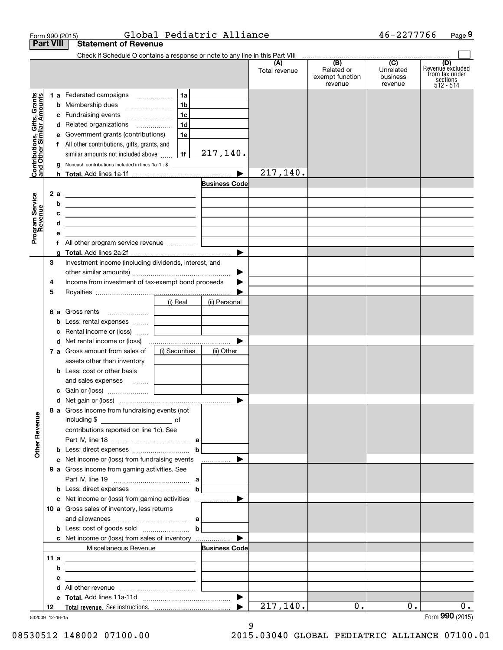| Form 990 (2015)                                           |                                                                                                                        |                                                                                                                      | Global Pediatric Alliance |                      |                                                                     | 46-2277766                       | Page 9                                                             |
|-----------------------------------------------------------|------------------------------------------------------------------------------------------------------------------------|----------------------------------------------------------------------------------------------------------------------|---------------------------|----------------------|---------------------------------------------------------------------|----------------------------------|--------------------------------------------------------------------|
| <b>Part VIII</b>                                          | <b>Statement of Revenue</b>                                                                                            |                                                                                                                      |                           |                      |                                                                     |                                  |                                                                    |
|                                                           | Check if Schedule O contains a response or note to any line in this Part VIII                                          |                                                                                                                      |                           | (A)<br>Total revenue | $\overline{AB}$ (B) (C)<br>Related or<br>exempt function<br>revenue | Unrelated<br>business<br>revenue | (D)<br>Revenue excluded<br>from tax under<br>sections<br>512 - 514 |
|                                                           | 1 a Federated campaigns                                                                                                | 1a                                                                                                                   |                           |                      |                                                                     |                                  |                                                                    |
| Contributions, Gifts, Grants<br>and Other Similar Amounts | <b>b</b> Membership dues                                                                                               | 1 <sub>b</sub>                                                                                                       |                           |                      |                                                                     |                                  |                                                                    |
|                                                           | c Fundraising events                                                                                                   | 1c                                                                                                                   |                           |                      |                                                                     |                                  |                                                                    |
|                                                           | d Related organizations                                                                                                | 1d                                                                                                                   |                           |                      |                                                                     |                                  |                                                                    |
|                                                           | e Government grants (contributions)                                                                                    | 1e                                                                                                                   |                           |                      |                                                                     |                                  |                                                                    |
|                                                           | f All other contributions, gifts, grants, and                                                                          |                                                                                                                      |                           |                      |                                                                     |                                  |                                                                    |
|                                                           | similar amounts not included above                                                                                     | 1f                                                                                                                   | 217,140.                  |                      |                                                                     |                                  |                                                                    |
|                                                           | <b>g</b> Noncash contributions included in lines 1a-1f: \$                                                             |                                                                                                                      |                           |                      |                                                                     |                                  |                                                                    |
|                                                           |                                                                                                                        |                                                                                                                      |                           | 217, 140.            |                                                                     |                                  |                                                                    |
|                                                           |                                                                                                                        |                                                                                                                      | Business Codel            |                      |                                                                     |                                  |                                                                    |
| 2a                                                        | <u> 1989 - Johann Harry Harry Harry Harry Harry Harry Harry Harry Harry Harry Harry Harry Harry Harry Harry Harry</u>  |                                                                                                                      |                           |                      |                                                                     |                                  |                                                                    |
| b                                                         | <u> 1989 - Johann Stein, marwolaethau a bhann an t-Albann an t-Albann an t-Albann an t-Albann an t-Albann an t-Alb</u> |                                                                                                                      |                           |                      |                                                                     |                                  |                                                                    |
| с                                                         | <u> 2008 - John Stein, Amerikaans en Stein (</u>                                                                       |                                                                                                                      |                           |                      |                                                                     |                                  |                                                                    |
| Program Service<br>Revenue<br>d                           | <u> 1989 - Johann Stein, Amerikaansk politiker († 1908)</u>                                                            |                                                                                                                      |                           |                      |                                                                     |                                  |                                                                    |
| е                                                         |                                                                                                                        | <u> 1989 - Jan Barbara Barbara, prima prima prima prima prima prima prima prima prima prima prima prima prima pr</u> |                           |                      |                                                                     |                                  |                                                                    |
|                                                           |                                                                                                                        |                                                                                                                      |                           |                      |                                                                     |                                  |                                                                    |
|                                                           |                                                                                                                        |                                                                                                                      |                           |                      |                                                                     |                                  |                                                                    |
| 3                                                         | Investment income (including dividends, interest, and                                                                  |                                                                                                                      |                           |                      |                                                                     |                                  |                                                                    |
|                                                           |                                                                                                                        |                                                                                                                      | ▶                         |                      |                                                                     |                                  |                                                                    |
| 4                                                         | Income from investment of tax-exempt bond proceeds                                                                     |                                                                                                                      |                           |                      |                                                                     |                                  |                                                                    |
| 5                                                         |                                                                                                                        |                                                                                                                      |                           |                      |                                                                     |                                  |                                                                    |
|                                                           |                                                                                                                        | (i) Real                                                                                                             | (ii) Personal             |                      |                                                                     |                                  |                                                                    |
|                                                           | 6 a Gross rents                                                                                                        | the control of the control of the control of                                                                         |                           |                      |                                                                     |                                  |                                                                    |
|                                                           | b Less: rental expenses                                                                                                | the control of the control of the control of                                                                         |                           |                      |                                                                     |                                  |                                                                    |
|                                                           | c Rental income or (loss)                                                                                              | and the control of the control of                                                                                    |                           |                      |                                                                     |                                  |                                                                    |
|                                                           |                                                                                                                        |                                                                                                                      |                           |                      |                                                                     |                                  |                                                                    |
|                                                           | 7 a Gross amount from sales of                                                                                         | (i) Securities                                                                                                       | (ii) Other                |                      |                                                                     |                                  |                                                                    |
|                                                           | assets other than inventory                                                                                            |                                                                                                                      |                           |                      |                                                                     |                                  |                                                                    |
|                                                           | <b>b</b> Less: cost or other basis                                                                                     |                                                                                                                      |                           |                      |                                                                     |                                  |                                                                    |
|                                                           | and sales expenses                                                                                                     |                                                                                                                      |                           |                      |                                                                     |                                  |                                                                    |
|                                                           |                                                                                                                        |                                                                                                                      |                           |                      |                                                                     |                                  |                                                                    |
|                                                           | 8 a Gross income from fundraising events (not                                                                          |                                                                                                                      |                           |                      |                                                                     |                                  |                                                                    |
|                                                           | including \$                                                                                                           |                                                                                                                      |                           |                      |                                                                     |                                  |                                                                    |
|                                                           | contributions reported on line 1c). See                                                                                |                                                                                                                      |                           |                      |                                                                     |                                  |                                                                    |
|                                                           |                                                                                                                        |                                                                                                                      |                           |                      |                                                                     |                                  |                                                                    |
| <b>Other Revenue</b>                                      |                                                                                                                        | $\mathbf b$                                                                                                          |                           |                      |                                                                     |                                  |                                                                    |
|                                                           | c Net income or (loss) from fundraising events                                                                         |                                                                                                                      | .                         |                      |                                                                     |                                  |                                                                    |
|                                                           | <b>9 a</b> Gross income from gaming activities. See                                                                    |                                                                                                                      |                           |                      |                                                                     |                                  |                                                                    |
|                                                           |                                                                                                                        |                                                                                                                      |                           |                      |                                                                     |                                  |                                                                    |
|                                                           | <b>b</b> Less: direct expenses <b>contained b</b>                                                                      |                                                                                                                      |                           |                      |                                                                     |                                  |                                                                    |
|                                                           |                                                                                                                        |                                                                                                                      |                           |                      |                                                                     |                                  |                                                                    |
|                                                           | 10 a Gross sales of inventory, less returns                                                                            |                                                                                                                      |                           |                      |                                                                     |                                  |                                                                    |
|                                                           |                                                                                                                        |                                                                                                                      |                           |                      |                                                                     |                                  |                                                                    |
|                                                           | <b>b</b> Less: cost of goods sold $\begin{bmatrix} b & b \end{bmatrix}$                                                |                                                                                                                      |                           |                      |                                                                     |                                  |                                                                    |
|                                                           | <b>c</b> Net income or (loss) from sales of inventory                                                                  |                                                                                                                      |                           |                      |                                                                     |                                  |                                                                    |
|                                                           | Miscellaneous Revenue                                                                                                  |                                                                                                                      | <b>Business Code</b>      |                      |                                                                     |                                  |                                                                    |
| 11a                                                       | <u> 2002 - Johann Barn, mars et al. (b. 1982)</u>                                                                      |                                                                                                                      |                           |                      |                                                                     |                                  |                                                                    |
| b                                                         | <u> 1989 - Johann Barbara, martxa eta idazlea (h. 1989).</u>                                                           |                                                                                                                      |                           |                      |                                                                     |                                  |                                                                    |
| c                                                         | <u> 1989 - Johann Stein, fransk politik (d. 1989)</u>                                                                  |                                                                                                                      |                           |                      |                                                                     |                                  |                                                                    |
|                                                           |                                                                                                                        |                                                                                                                      |                           |                      |                                                                     |                                  |                                                                    |
|                                                           |                                                                                                                        |                                                                                                                      |                           | 217, 140.            | 0.                                                                  | $0$ .                            | $0$ .                                                              |
| 12                                                        |                                                                                                                        |                                                                                                                      |                           |                      |                                                                     |                                  | Form 990 (2015)                                                    |

9

532009 12-16-15

08530512 148002 07100.00 2015.03040 GLOBAL PEDIATRIC ALLIANCE 07100.01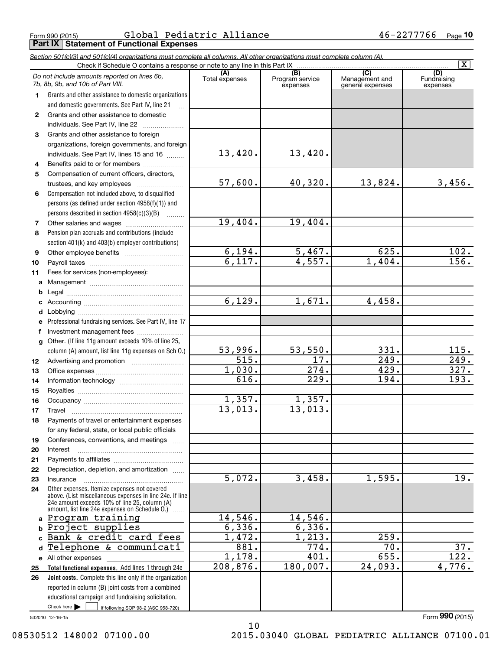Form 990 (2015) GlODal Pediatric Alliance 4 b-22777/6 Page **Part IX Statement of Functional Expenses** Global Pediatric Alliance 46-2277766

|                  | Section 501(c)(3) and 501(c)(4) organizations must complete all columns. All other organizations must complete column (A).                                    |                      |                             |                                    | $\overline{\mathbf{x}}$ |
|------------------|---------------------------------------------------------------------------------------------------------------------------------------------------------------|----------------------|-----------------------------|------------------------------------|-------------------------|
|                  | Check if Schedule O contains a response or note to any line in this Part IX                                                                                   | (A)                  | (B)                         | .<br>$\overline{(C)}$              | (D)                     |
|                  | Do not include amounts reported on lines 6b,<br>7b, 8b, 9b, and 10b of Part VIII.                                                                             | Total expenses       | Program service<br>expenses | Management and<br>general expenses | Fundraising<br>expenses |
| 1.               | Grants and other assistance to domestic organizations                                                                                                         |                      |                             |                                    |                         |
|                  | and domestic governments. See Part IV, line 21                                                                                                                |                      |                             |                                    |                         |
| $\mathbf{2}$     | Grants and other assistance to domestic                                                                                                                       |                      |                             |                                    |                         |
|                  | individuals. See Part IV, line 22                                                                                                                             |                      |                             |                                    |                         |
| 3                | Grants and other assistance to foreign                                                                                                                        |                      |                             |                                    |                         |
|                  | organizations, foreign governments, and foreign                                                                                                               |                      |                             |                                    |                         |
|                  | individuals. See Part IV, lines 15 and 16                                                                                                                     | 13,420.              | 13,420.                     |                                    |                         |
| 4                | Benefits paid to or for members                                                                                                                               |                      |                             |                                    |                         |
| 5                | Compensation of current officers, directors,                                                                                                                  |                      |                             |                                    |                         |
|                  | trustees, and key employees                                                                                                                                   | 57,600.              | 40,320.                     | 13,824.                            | 3,456.                  |
| 6                | Compensation not included above, to disqualified                                                                                                              |                      |                             |                                    |                         |
|                  | persons (as defined under section 4958(f)(1)) and                                                                                                             |                      |                             |                                    |                         |
|                  | persons described in section 4958(c)(3)(B)                                                                                                                    |                      |                             |                                    |                         |
| 7                |                                                                                                                                                               | 19,404.              | 19,404.                     |                                    |                         |
| 8                | Pension plan accruals and contributions (include                                                                                                              |                      |                             |                                    |                         |
|                  | section 401(k) and 403(b) employer contributions)                                                                                                             |                      |                             |                                    |                         |
| 9                |                                                                                                                                                               | 6,194.               | 5,467.                      | 625.                               | 102.                    |
| 10               |                                                                                                                                                               | 6,117.               | 4,557.                      | 1,404.                             | 156.                    |
| 11               | Fees for services (non-employees):                                                                                                                            |                      |                             |                                    |                         |
| a                |                                                                                                                                                               |                      |                             |                                    |                         |
| b                |                                                                                                                                                               |                      |                             |                                    |                         |
| c                |                                                                                                                                                               | 6,129.               | 1,671.                      | 4,458.                             |                         |
| d                |                                                                                                                                                               |                      |                             |                                    |                         |
| е                | Professional fundraising services. See Part IV, line 17                                                                                                       |                      |                             |                                    |                         |
| f                | Investment management fees                                                                                                                                    |                      |                             |                                    |                         |
| g                | Other. (If line 11g amount exceeds 10% of line 25,                                                                                                            |                      |                             |                                    |                         |
|                  | column (A) amount, list line 11g expenses on Sch O.)                                                                                                          | 53,996.              | 53,550.                     | 331.                               | 115.                    |
| 12 <sup>12</sup> |                                                                                                                                                               | 515.                 | 17.                         | 249.                               | 249.                    |
| 13               |                                                                                                                                                               | 1,030.               | 274.                        | 429.                               | 327.                    |
| 14               |                                                                                                                                                               | 616.                 | 229.                        | 194.                               | 193.                    |
| 15               |                                                                                                                                                               | 1,357.               |                             |                                    |                         |
| 16               |                                                                                                                                                               |                      | 1,357.<br>13,013.           |                                    |                         |
| 17               |                                                                                                                                                               | 13,013.              |                             |                                    |                         |
| 18               | Payments of travel or entertainment expenses                                                                                                                  |                      |                             |                                    |                         |
|                  | for any federal, state, or local public officials                                                                                                             |                      |                             |                                    |                         |
| 19               | Conferences, conventions, and meetings                                                                                                                        |                      |                             |                                    |                         |
| 20               | Interest                                                                                                                                                      |                      |                             |                                    |                         |
| 21               |                                                                                                                                                               |                      |                             |                                    |                         |
| 22               | Depreciation, depletion, and amortization                                                                                                                     | $\overline{5,072}$ . | 3,458.                      | 1,595.                             | 19.                     |
| 23               | Insurance<br>Other expenses. Itemize expenses not covered                                                                                                     |                      |                             |                                    |                         |
| 24               | above. (List miscellaneous expenses in line 24e. If line<br>24e amount exceeds 10% of line 25, column (A)<br>amount, list line 24e expenses on Schedule O.) [ |                      |                             |                                    |                         |
|                  | a Program training                                                                                                                                            | 14,546.              | 14,546.                     |                                    |                         |
| b                | Project supplies                                                                                                                                              | 6,336.               | 6,336.                      |                                    |                         |
| c                | Bank & credit card fees                                                                                                                                       | 1,472.               | 1,213.                      | 259.                               |                         |
| d                | Telephone & communicati                                                                                                                                       | 881.                 | 774.                        | 70.                                | 37.                     |
|                  | e All other expenses                                                                                                                                          | 1,178.               | 401.                        | 655.                               | 122.                    |
| 25               | Total functional expenses. Add lines 1 through 24e                                                                                                            | 208,876.             | 180,007.                    | 24,093.                            | 4,776.                  |
| 26               | Joint costs. Complete this line only if the organization                                                                                                      |                      |                             |                                    |                         |
|                  | reported in column (B) joint costs from a combined                                                                                                            |                      |                             |                                    |                         |
|                  | educational campaign and fundraising solicitation.                                                                                                            |                      |                             |                                    |                         |
|                  | Check here $\blacktriangleright$<br>if following SOP 98-2 (ASC 958-720)                                                                                       |                      |                             |                                    |                         |

532010 12-16-15

10 08530512 148002 07100.00 2015.03040 GLOBAL PEDIATRIC ALLIANCE 07100.01

Form (2015) **990**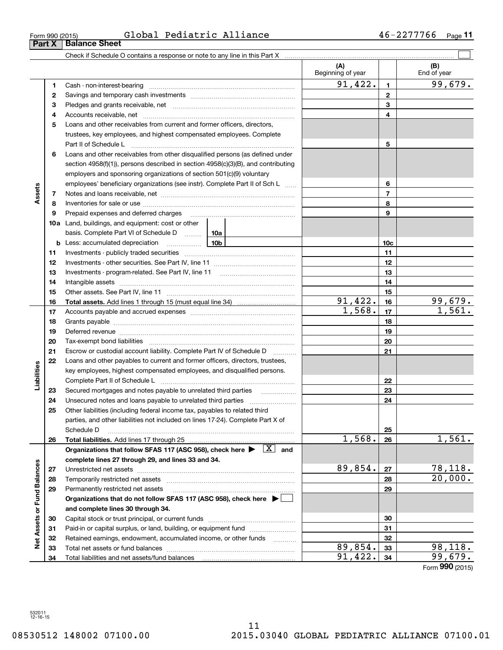$\overline{\phantom{0}}$ 

**Part X Balance Sheet**

Form 990 (2015) Global Pediatric Alliance 46-2277766 <sub>Page</sub>

|                             |    | Check if Schedule O contains a response or note to any line in this Part X                                                          |   |                          |                |                          |
|-----------------------------|----|-------------------------------------------------------------------------------------------------------------------------------------|---|--------------------------|----------------|--------------------------|
|                             |    |                                                                                                                                     |   | (A)<br>Beginning of year |                | (B)<br>End of year       |
|                             | 1  | Cash - non-interest-bearing                                                                                                         |   | 91,422.                  | $\mathbf{1}$   | 99,679.                  |
|                             | 2  |                                                                                                                                     |   |                          | $\mathbf{2}$   |                          |
|                             | з  |                                                                                                                                     |   |                          | 3              |                          |
|                             | 4  |                                                                                                                                     |   |                          | 4              |                          |
|                             | 5  | Loans and other receivables from current and former officers, directors,                                                            |   |                          |                |                          |
|                             |    | trustees, key employees, and highest compensated employees. Complete                                                                |   |                          |                |                          |
|                             |    | Part II of Schedule L                                                                                                               |   |                          | 5              |                          |
|                             | 6  | Loans and other receivables from other disqualified persons (as defined under                                                       |   |                          |                |                          |
|                             |    | section $4958(f)(1)$ , persons described in section $4958(c)(3)(B)$ , and contributing                                              |   |                          |                |                          |
|                             |    | employers and sponsoring organizations of section 501(c)(9) voluntary                                                               |   |                          |                |                          |
|                             |    | employees' beneficiary organizations (see instr). Complete Part II of Sch L                                                         |   |                          | 6              |                          |
| Assets                      | 7  |                                                                                                                                     |   |                          | $\overline{7}$ |                          |
|                             | 8  |                                                                                                                                     |   |                          | 8              |                          |
|                             | 9  | Prepaid expenses and deferred charges                                                                                               |   |                          | 9              |                          |
|                             |    | <b>10a</b> Land, buildings, and equipment: cost or other                                                                            |   |                          |                |                          |
|                             |    | basis. Complete Part VI of Schedule D  10a                                                                                          |   |                          |                |                          |
|                             |    | 10b<br><b>b</b> Less: accumulated depreciation                                                                                      |   |                          | 10c            |                          |
|                             | 11 |                                                                                                                                     |   |                          | 11             |                          |
|                             | 12 |                                                                                                                                     |   | 12                       |                |                          |
|                             | 13 |                                                                                                                                     |   |                          | 13             |                          |
|                             | 14 |                                                                                                                                     |   |                          | 14             |                          |
|                             | 15 |                                                                                                                                     |   |                          | 15             |                          |
|                             | 16 |                                                                                                                                     |   | 91,422.                  | 16             | $\frac{99,679.}{1,561.}$ |
|                             | 17 |                                                                                                                                     |   | 1,568.                   | 17             |                          |
|                             | 18 |                                                                                                                                     |   |                          | 18             |                          |
|                             | 19 |                                                                                                                                     |   | 19                       |                |                          |
|                             | 20 |                                                                                                                                     |   |                          | 20             |                          |
|                             | 21 | Escrow or custodial account liability. Complete Part IV of Schedule D                                                               | . |                          | 21             |                          |
|                             | 22 | Loans and other payables to current and former officers, directors, trustees,                                                       |   |                          |                |                          |
| bilities                    |    | key employees, highest compensated employees, and disqualified persons.                                                             |   |                          |                |                          |
| ھ∃<br>⊑                     |    |                                                                                                                                     |   |                          | 22             |                          |
|                             | 23 | Secured mortgages and notes payable to unrelated third parties                                                                      |   |                          | 23             |                          |
|                             | 24 | Unsecured notes and loans payable to unrelated third parties                                                                        |   |                          | 24             |                          |
|                             | 25 | Other liabilities (including federal income tax, payables to related third                                                          |   |                          |                |                          |
|                             |    | parties, and other liabilities not included on lines 17-24). Complete Part X of                                                     |   |                          |                |                          |
|                             | 26 | Schedule D<br>Total liabilities. Add lines 17 through 25                                                                            |   | 1,568.                   | 25<br>26       | 1,561.                   |
|                             |    | Organizations that follow SFAS 117 (ASC 958), check here $\blacktriangleright \begin{array}{ c } \hline X & \text{and} \end{array}$ |   |                          |                |                          |
|                             |    | complete lines 27 through 29, and lines 33 and 34.                                                                                  |   |                          |                |                          |
|                             | 27 | Unrestricted net assets                                                                                                             |   | 89,854.                  | 27             | 78,118.                  |
|                             | 28 | Temporarily restricted net assets                                                                                                   |   |                          | 28             | 20,000.                  |
|                             | 29 | Permanently restricted net assets                                                                                                   |   |                          | 29             |                          |
|                             |    | Organizations that do not follow SFAS 117 (ASC 958), check here ▶ □                                                                 |   |                          |                |                          |
|                             |    | and complete lines 30 through 34.                                                                                                   |   |                          |                |                          |
|                             | 30 |                                                                                                                                     |   |                          | 30             |                          |
|                             | 31 | Paid-in or capital surplus, or land, building, or equipment fund                                                                    |   |                          | 31             |                          |
| Net Assets or Fund Balances | 32 | Retained earnings, endowment, accumulated income, or other funds                                                                    |   |                          | 32             |                          |
|                             | 33 | Total net assets or fund balances                                                                                                   |   | 89,854.                  | 33             | 98,118.                  |
|                             | 34 | Total liabilities and net assets/fund balances                                                                                      |   | 91,422.                  | 34             | 99,679.                  |
|                             |    |                                                                                                                                     |   |                          |                | Form 990 (2015)          |

**11**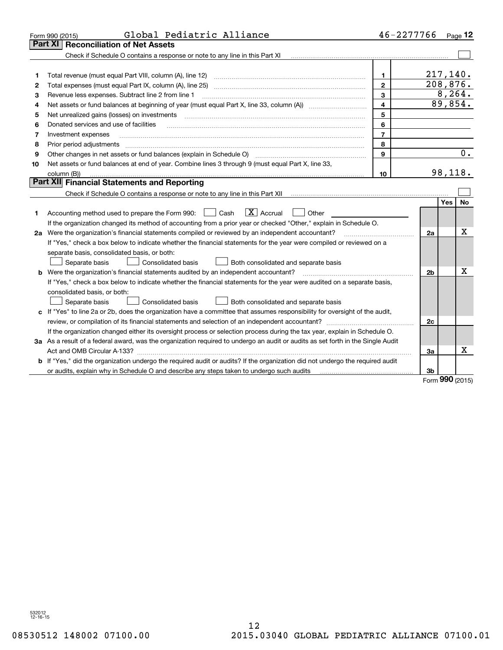|    | Global Pediatric Alliance<br>Form 990 (2015)                                                                                         | 46-2277766     |          |            | Page 12 |  |  |  |
|----|--------------------------------------------------------------------------------------------------------------------------------------|----------------|----------|------------|---------|--|--|--|
|    | <b>Reconciliation of Net Assets</b><br>Part XI                                                                                       |                |          |            |         |  |  |  |
|    | Check if Schedule O contains a response or note to any line in this Part XI                                                          |                |          |            |         |  |  |  |
|    |                                                                                                                                      |                |          |            |         |  |  |  |
| 1  | Total revenue (must equal Part VIII, column (A), line 12)                                                                            | 1              | 217,140. |            |         |  |  |  |
| 2  |                                                                                                                                      | $\mathbf{2}$   | 208,876. |            | 8, 264. |  |  |  |
| 3  | 3<br>Revenue less expenses. Subtract line 2 from line 1                                                                              |                |          |            |         |  |  |  |
| 4  | $\overline{4}$                                                                                                                       |                |          |            |         |  |  |  |
| 5  | Net unrealized gains (losses) on investments                                                                                         | 5              |          |            |         |  |  |  |
| 6  | Donated services and use of facilities                                                                                               | 6              |          |            |         |  |  |  |
| 7  | Investment expenses                                                                                                                  | $\overline{7}$ |          |            |         |  |  |  |
| 8  | 8<br>Prior period adjustments                                                                                                        |                |          |            |         |  |  |  |
| 9  |                                                                                                                                      | 9              |          |            | 0.      |  |  |  |
| 10 | Net assets or fund balances at end of year. Combine lines 3 through 9 (must equal Part X, line 33,                                   |                |          |            |         |  |  |  |
|    | column (B))                                                                                                                          | 10             |          |            | 98,118. |  |  |  |
|    | Part XII Financial Statements and Reporting                                                                                          |                |          |            |         |  |  |  |
|    |                                                                                                                                      |                |          |            |         |  |  |  |
|    |                                                                                                                                      |                |          | <b>Yes</b> | No      |  |  |  |
| 1. | $\boxed{\text{X}}$ Accrual<br>Accounting method used to prepare the Form 990: <u>[</u> Cash<br>Other                                 |                |          |            |         |  |  |  |
|    | If the organization changed its method of accounting from a prior year or checked "Other," explain in Schedule O.                    |                |          |            |         |  |  |  |
|    | 2a Were the organization's financial statements compiled or reviewed by an independent accountant?                                   |                | 2a       |            | Χ       |  |  |  |
|    | If "Yes," check a box below to indicate whether the financial statements for the year were compiled or reviewed on a                 |                |          |            |         |  |  |  |
|    | separate basis, consolidated basis, or both:                                                                                         |                |          |            |         |  |  |  |
|    | Separate basis<br>Both consolidated and separate basis<br>Consolidated basis                                                         |                |          |            |         |  |  |  |
|    | <b>b</b> Were the organization's financial statements audited by an independent accountant?                                          |                | 2b       |            | х       |  |  |  |
|    | If "Yes," check a box below to indicate whether the financial statements for the year were audited on a separate basis,              |                |          |            |         |  |  |  |
|    | consolidated basis, or both:                                                                                                         |                |          |            |         |  |  |  |
|    | Separate basis<br>Consolidated basis<br>Both consolidated and separate basis                                                         |                |          |            |         |  |  |  |
|    | c If "Yes" to line 2a or 2b, does the organization have a committee that assumes responsibility for oversight of the audit,          |                |          |            |         |  |  |  |
|    |                                                                                                                                      |                | 2c       |            |         |  |  |  |
|    | If the organization changed either its oversight process or selection process during the tax year, explain in Schedule O.            |                |          |            |         |  |  |  |
|    | 3a As a result of a federal award, was the organization required to undergo an audit or audits as set forth in the Single Audit      |                |          |            |         |  |  |  |
|    | Act and OMB Circular A-133?                                                                                                          |                | 3a       |            | x       |  |  |  |
|    | <b>b</b> If "Yes," did the organization undergo the required audit or audits? If the organization did not undergo the required audit |                |          |            |         |  |  |  |
|    | or audits, explain why in Schedule O and describe any steps taken to undergo such audits <i>manumeranomanomanomanom</i>              |                | 3b       | $000 -$    |         |  |  |  |

Form (2015) **990**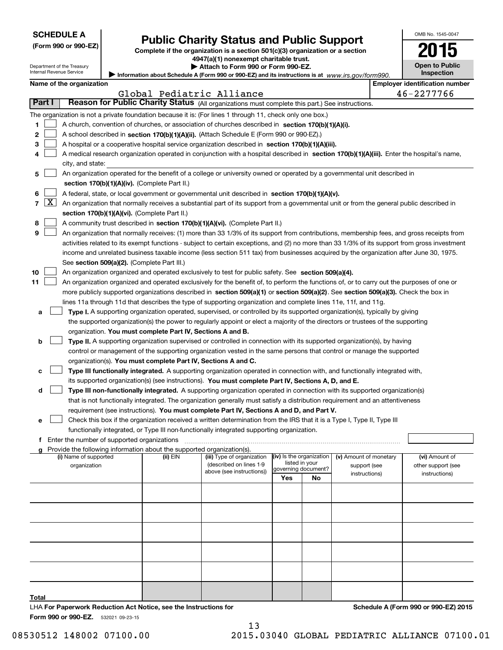| <b>SCHEDULE A</b> |  |
|-------------------|--|
|-------------------|--|

| (Form 990 or 990-EZ) |  |  |  |  |
|----------------------|--|--|--|--|
|----------------------|--|--|--|--|

# **Public Charity Status and Public Support**

**Complete if the organization is a section 501(c)(3) organization or a section 4947(a)(1) nonexempt charitable trust.**

| <b>Open to Public</b> |
|-----------------------|
| Inspection            |

OMB No. 1545-0047

**2015**

Department of the Treasury Internal Revenue Service

|  | Attach to Form 990 or Form 990-EZ.                                   |  |
|--|----------------------------------------------------------------------|--|
|  | n about Cabadula A (Earm 000 ar 000 E7) and its instructions is at u |  |

**Information about Schedule A (Form 990 or 990-EZ) and its instructions is at**  *www.irs.gov/form990.* Information about Schedul

|        |            | Name of the organization                                                                                                                      |          |                                                       |     |                                            |                                        | <b>Employer identification number</b> |
|--------|------------|-----------------------------------------------------------------------------------------------------------------------------------------------|----------|-------------------------------------------------------|-----|--------------------------------------------|----------------------------------------|---------------------------------------|
| Part I |            | Reason for Public Charity Status (All organizations must complete this part.) See instructions.                                               |          | Global Pediatric Alliance                             |     |                                            |                                        | 46-2277766                            |
|        |            |                                                                                                                                               |          |                                                       |     |                                            |                                        |                                       |
|        |            | The organization is not a private foundation because it is: (For lines 1 through 11, check only one box.)                                     |          |                                                       |     |                                            |                                        |                                       |
| 1      |            | A church, convention of churches, or association of churches described in section 170(b)(1)(A)(i).                                            |          |                                                       |     |                                            |                                        |                                       |
| 2      |            | A school described in section 170(b)(1)(A)(ii). (Attach Schedule E (Form 990 or 990-EZ).)                                                     |          |                                                       |     |                                            |                                        |                                       |
| з      |            | A hospital or a cooperative hospital service organization described in section $170(b)(1)(A)(iii)$ .                                          |          |                                                       |     |                                            |                                        |                                       |
| 4      |            | A medical research organization operated in conjunction with a hospital described in section 170(b)(1)(A)(iii). Enter the hospital's name,    |          |                                                       |     |                                            |                                        |                                       |
|        |            | city, and state:                                                                                                                              |          |                                                       |     |                                            |                                        |                                       |
| 5      |            | An organization operated for the benefit of a college or university owned or operated by a governmental unit described in                     |          |                                                       |     |                                            |                                        |                                       |
|        |            | section 170(b)(1)(A)(iv). (Complete Part II.)                                                                                                 |          |                                                       |     |                                            |                                        |                                       |
| 6      |            | A federal, state, or local government or governmental unit described in section 170(b)(1)(A)(v).                                              |          |                                                       |     |                                            |                                        |                                       |
|        | $7 \times$ | An organization that normally receives a substantial part of its support from a governmental unit or from the general public described in     |          |                                                       |     |                                            |                                        |                                       |
|        |            | section 170(b)(1)(A)(vi). (Complete Part II.)                                                                                                 |          |                                                       |     |                                            |                                        |                                       |
| 8      |            | A community trust described in section 170(b)(1)(A)(vi). (Complete Part II.)                                                                  |          |                                                       |     |                                            |                                        |                                       |
| 9      |            | An organization that normally receives: (1) more than 33 1/3% of its support from contributions, membership fees, and gross receipts from     |          |                                                       |     |                                            |                                        |                                       |
|        |            | activities related to its exempt functions - subject to certain exceptions, and (2) no more than 33 1/3% of its support from gross investment |          |                                                       |     |                                            |                                        |                                       |
|        |            | income and unrelated business taxable income (less section 511 tax) from businesses acquired by the organization after June 30, 1975.         |          |                                                       |     |                                            |                                        |                                       |
|        |            | See section 509(a)(2). (Complete Part III.)                                                                                                   |          |                                                       |     |                                            |                                        |                                       |
| 10     |            | An organization organized and operated exclusively to test for public safety. See section 509(a)(4).                                          |          |                                                       |     |                                            |                                        |                                       |
| 11     |            | An organization organized and operated exclusively for the benefit of, to perform the functions of, or to carry out the purposes of one or    |          |                                                       |     |                                            |                                        |                                       |
|        |            | more publicly supported organizations described in section 509(a)(1) or section 509(a)(2). See section 509(a)(3). Check the box in            |          |                                                       |     |                                            |                                        |                                       |
|        |            | lines 11a through 11d that describes the type of supporting organization and complete lines 11e, 11f, and 11g.                                |          |                                                       |     |                                            |                                        |                                       |
| а      |            | Type I. A supporting organization operated, supervised, or controlled by its supported organization(s), typically by giving                   |          |                                                       |     |                                            |                                        |                                       |
|        |            | the supported organization(s) the power to regularly appoint or elect a majority of the directors or trustees of the supporting               |          |                                                       |     |                                            |                                        |                                       |
|        |            | organization. You must complete Part IV, Sections A and B.                                                                                    |          |                                                       |     |                                            |                                        |                                       |
| b      |            | Type II. A supporting organization supervised or controlled in connection with its supported organization(s), by having                       |          |                                                       |     |                                            |                                        |                                       |
|        |            | control or management of the supporting organization vested in the same persons that control or manage the supported                          |          |                                                       |     |                                            |                                        |                                       |
|        |            | organization(s). You must complete Part IV, Sections A and C.                                                                                 |          |                                                       |     |                                            |                                        |                                       |
| с      |            | Type III functionally integrated. A supporting organization operated in connection with, and functionally integrated with,                    |          |                                                       |     |                                            |                                        |                                       |
|        |            | its supported organization(s) (see instructions). You must complete Part IV, Sections A, D, and E.                                            |          |                                                       |     |                                            |                                        |                                       |
| d      |            | Type III non-functionally integrated. A supporting organization operated in connection with its supported organization(s)                     |          |                                                       |     |                                            |                                        |                                       |
|        |            | that is not functionally integrated. The organization generally must satisfy a distribution requirement and an attentiveness                  |          |                                                       |     |                                            |                                        |                                       |
|        |            | requirement (see instructions). You must complete Part IV, Sections A and D, and Part V.                                                      |          |                                                       |     |                                            |                                        |                                       |
| е      |            | Check this box if the organization received a written determination from the IRS that it is a Type I, Type II, Type III                       |          |                                                       |     |                                            |                                        |                                       |
|        |            | functionally integrated, or Type III non-functionally integrated supporting organization.                                                     |          |                                                       |     |                                            |                                        |                                       |
|        |            | Enter the number of supported organizations                                                                                                   |          |                                                       |     |                                            |                                        |                                       |
|        |            | Provide the following information about the supported organization(s).<br>(i) Name of supported                                               |          |                                                       |     |                                            |                                        |                                       |
|        |            | organization                                                                                                                                  | (ii) EIN | (iii) Type of organization<br>(described on lines 1-9 |     | (iv) Is the organization<br>listed in your | (v) Amount of monetary<br>support (see | (vi) Amount of<br>other support (see  |
|        |            |                                                                                                                                               |          | above (see instructions))                             |     | governing document?                        | instructions)                          | instructions)                         |
|        |            |                                                                                                                                               |          |                                                       | Yes | No                                         |                                        |                                       |
|        |            |                                                                                                                                               |          |                                                       |     |                                            |                                        |                                       |
|        |            |                                                                                                                                               |          |                                                       |     |                                            |                                        |                                       |
|        |            |                                                                                                                                               |          |                                                       |     |                                            |                                        |                                       |
|        |            |                                                                                                                                               |          |                                                       |     |                                            |                                        |                                       |
|        |            |                                                                                                                                               |          |                                                       |     |                                            |                                        |                                       |
|        |            |                                                                                                                                               |          |                                                       |     |                                            |                                        |                                       |
|        |            |                                                                                                                                               |          |                                                       |     |                                            |                                        |                                       |

13

LHA For Paperwork Reduction Act Notice, see the Instructions for

**Schedule A (Form 990 or 990-EZ) 2015**

**Form 990 or 990-EZ.** 532021 09-23-15

**Total**

08530512 148002 07100.00 2015.03040 GLOBAL PEDIATRIC ALLIANCE 07100.01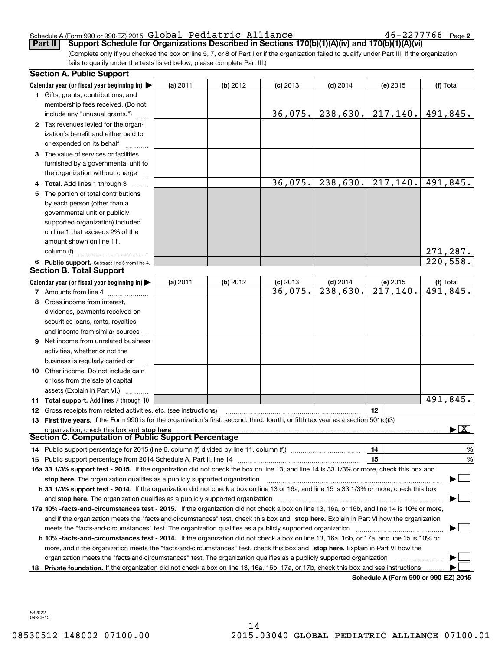#### Schedule A (Form 990 or 990-EZ) 2015  ${\sf Global \; Pediatric \; Alliance} \hspace{1.5cm} 46-2277766 \;$  Page

46-2277766 Page 2

(Complete only if you checked the box on line 5, 7, or 8 of Part I or if the organization failed to qualify under Part III. If the organization fails to qualify under the tests listed below, please complete Part III.) **Part II Support Schedule for Organizations Described in Sections 170(b)(1)(A)(iv) and 170(b)(1)(A)(vi)**

| <b>Section A. Public Support</b>                                                                                                               |          |          |            |                        |                                      |                                          |
|------------------------------------------------------------------------------------------------------------------------------------------------|----------|----------|------------|------------------------|--------------------------------------|------------------------------------------|
| Calendar year (or fiscal year beginning in) $\blacktriangleright$                                                                              | (a) 2011 | (b) 2012 | $(c)$ 2013 | $(d)$ 2014             | (e) 2015                             | (f) Total                                |
| <b>1</b> Gifts, grants, contributions, and                                                                                                     |          |          |            |                        |                                      |                                          |
| membership fees received. (Do not                                                                                                              |          |          |            |                        |                                      |                                          |
| include any "unusual grants.")                                                                                                                 |          |          | 36,075.    |                        | $238,630.$ 217, 140.                 | 491,845.                                 |
| 2 Tax revenues levied for the organ-                                                                                                           |          |          |            |                        |                                      |                                          |
| ization's benefit and either paid to                                                                                                           |          |          |            |                        |                                      |                                          |
| or expended on its behalf                                                                                                                      |          |          |            |                        |                                      |                                          |
| 3 The value of services or facilities                                                                                                          |          |          |            |                        |                                      |                                          |
| furnished by a governmental unit to                                                                                                            |          |          |            |                        |                                      |                                          |
| the organization without charge                                                                                                                |          |          |            |                        |                                      |                                          |
| 4 Total. Add lines 1 through 3                                                                                                                 |          |          | 36,075.    | 238,630.               | 217,140.                             | 491,845.                                 |
| 5 The portion of total contributions                                                                                                           |          |          |            |                        |                                      |                                          |
| by each person (other than a                                                                                                                   |          |          |            |                        |                                      |                                          |
| governmental unit or publicly                                                                                                                  |          |          |            |                        |                                      |                                          |
| supported organization) included                                                                                                               |          |          |            |                        |                                      |                                          |
| on line 1 that exceeds 2% of the                                                                                                               |          |          |            |                        |                                      |                                          |
| amount shown on line 11,                                                                                                                       |          |          |            |                        |                                      |                                          |
| column (f)                                                                                                                                     |          |          |            |                        |                                      | 271,287.                                 |
| 6 Public support. Subtract line 5 from line 4.                                                                                                 |          |          |            |                        |                                      | 220,558.                                 |
| <b>Section B. Total Support</b>                                                                                                                |          |          |            |                        |                                      |                                          |
| Calendar year (or fiscal year beginning in) $\blacktriangleright$                                                                              | (a) 2011 | (b) 2012 | $(c)$ 2013 | $(d)$ 2014             | (e) 2015                             | (f) Total                                |
| 7 Amounts from line 4                                                                                                                          |          |          | 36,075.    | $\overline{238,630}$ . | 217,140.                             | 491,845.                                 |
| 8 Gross income from interest,                                                                                                                  |          |          |            |                        |                                      |                                          |
| dividends, payments received on                                                                                                                |          |          |            |                        |                                      |                                          |
| securities loans, rents, royalties                                                                                                             |          |          |            |                        |                                      |                                          |
| and income from similar sources                                                                                                                |          |          |            |                        |                                      |                                          |
| <b>9</b> Net income from unrelated business                                                                                                    |          |          |            |                        |                                      |                                          |
| activities, whether or not the                                                                                                                 |          |          |            |                        |                                      |                                          |
| business is regularly carried on                                                                                                               |          |          |            |                        |                                      |                                          |
| <b>10</b> Other income. Do not include gain                                                                                                    |          |          |            |                        |                                      |                                          |
| or loss from the sale of capital                                                                                                               |          |          |            |                        |                                      |                                          |
| assets (Explain in Part VI.)                                                                                                                   |          |          |            |                        |                                      |                                          |
| <b>11 Total support.</b> Add lines 7 through 10                                                                                                |          |          |            |                        |                                      | 491,845.                                 |
| <b>12</b> Gross receipts from related activities, etc. (see instructions)                                                                      |          |          |            |                        | 12                                   |                                          |
| 13 First five years. If the Form 990 is for the organization's first, second, third, fourth, or fifth tax year as a section 501(c)(3)          |          |          |            |                        |                                      |                                          |
| organization, check this box and stop here                                                                                                     |          |          |            |                        |                                      | $\blacktriangleright$ $\boxed{\text{X}}$ |
| <b>Section C. Computation of Public Support Percentage</b>                                                                                     |          |          |            |                        |                                      |                                          |
| 14 Public support percentage for 2015 (line 6, column (f) divided by line 11, column (f) <i>mummumumum</i>                                     |          |          |            |                        | 14                                   | $\frac{9}{6}$                            |
|                                                                                                                                                |          |          |            |                        | 15                                   | %                                        |
| 16a 33 1/3% support test - 2015. If the organization did not check the box on line 13, and line 14 is 33 1/3% or more, check this box and      |          |          |            |                        |                                      |                                          |
| stop here. The organization qualifies as a publicly supported organization                                                                     |          |          |            |                        |                                      |                                          |
| b 33 1/3% support test - 2014. If the organization did not check a box on line 13 or 16a, and line 15 is 33 1/3% or more, check this box       |          |          |            |                        |                                      |                                          |
| and stop here. The organization qualifies as a publicly supported organization                                                                 |          |          |            |                        |                                      |                                          |
| 17a 10% -facts-and-circumstances test - 2015. If the organization did not check a box on line 13, 16a, or 16b, and line 14 is 10% or more,     |          |          |            |                        |                                      |                                          |
| and if the organization meets the "facts-and-circumstances" test, check this box and stop here. Explain in Part VI how the organization        |          |          |            |                        |                                      |                                          |
| meets the "facts-and-circumstances" test. The organization qualifies as a publicly supported organization                                      |          |          |            |                        |                                      |                                          |
| <b>b 10% -facts-and-circumstances test - 2014.</b> If the organization did not check a box on line 13, 16a, 16b, or 17a, and line 15 is 10% or |          |          |            |                        |                                      |                                          |
| more, and if the organization meets the "facts-and-circumstances" test, check this box and stop here. Explain in Part VI how the               |          |          |            |                        |                                      |                                          |
| organization meets the "facts-and-circumstances" test. The organization qualifies as a publicly supported organization                         |          |          |            |                        |                                      |                                          |
| 18 Private foundation. If the organization did not check a box on line 13, 16a, 16b, 17a, or 17b, check this box and see instructions          |          |          |            |                        |                                      |                                          |
|                                                                                                                                                |          |          |            |                        | Schodule A (Form 000 or 000 F7) 2015 |                                          |

**Schedule A (Form 990 or 990-EZ) 2015**

532022 09-23-15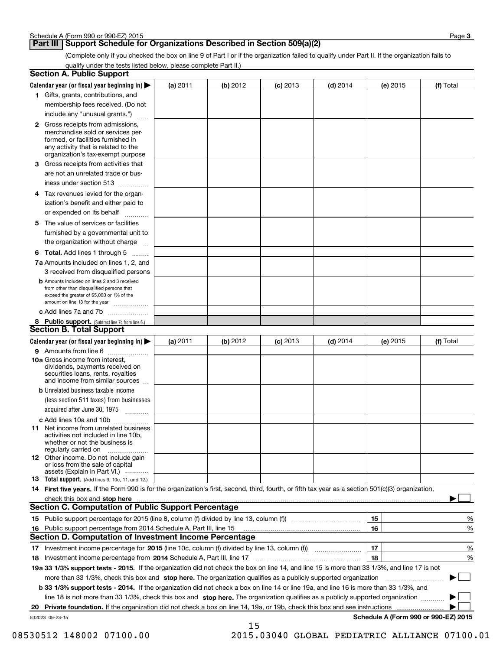## **Part III Support Schedule for Organizations Described in Section 509(a)(2)**

(Complete only if you checked the box on line 9 of Part I or if the organization failed to qualify under Part II. If the organization fails to qualify under the tests listed below, please complete Part II.)

| <b>Section A. Public Support</b>                                                                                                                                                                |            |          |            |            |          |                                      |
|-------------------------------------------------------------------------------------------------------------------------------------------------------------------------------------------------|------------|----------|------------|------------|----------|--------------------------------------|
| Calendar year (or fiscal year beginning in)                                                                                                                                                     | $(a)$ 2011 | (b) 2012 | $(c)$ 2013 | $(d)$ 2014 | (e) 2015 | (f) Total                            |
| 1 Gifts, grants, contributions, and                                                                                                                                                             |            |          |            |            |          |                                      |
| membership fees received. (Do not                                                                                                                                                               |            |          |            |            |          |                                      |
| include any "unusual grants.")                                                                                                                                                                  |            |          |            |            |          |                                      |
| <b>2</b> Gross receipts from admissions,<br>merchandise sold or services per-<br>formed, or facilities furnished in<br>any activity that is related to the<br>organization's tax-exempt purpose |            |          |            |            |          |                                      |
| 3 Gross receipts from activities that<br>are not an unrelated trade or bus-                                                                                                                     |            |          |            |            |          |                                      |
| iness under section 513                                                                                                                                                                         |            |          |            |            |          |                                      |
| 4 Tax revenues levied for the organ-<br>ization's benefit and either paid to                                                                                                                    |            |          |            |            |          |                                      |
| or expended on its behalf                                                                                                                                                                       |            |          |            |            |          |                                      |
| 5 The value of services or facilities<br>furnished by a governmental unit to                                                                                                                    |            |          |            |            |          |                                      |
| the organization without charge                                                                                                                                                                 |            |          |            |            |          |                                      |
| <b>6 Total.</b> Add lines 1 through 5                                                                                                                                                           |            |          |            |            |          |                                      |
| 7a Amounts included on lines 1, 2, and<br>3 received from disqualified persons                                                                                                                  |            |          |            |            |          |                                      |
| <b>b</b> Amounts included on lines 2 and 3 received<br>from other than disqualified persons that<br>exceed the greater of \$5,000 or 1% of the<br>amount on line 13 for the year                |            |          |            |            |          |                                      |
| c Add lines 7a and 7b                                                                                                                                                                           |            |          |            |            |          |                                      |
| 8 Public support. (Subtract line 7c from line 6.)<br><b>Section B. Total Support</b>                                                                                                            |            |          |            |            |          |                                      |
| Calendar year (or fiscal year beginning in)                                                                                                                                                     | (a) 2011   | (b) 2012 | $(c)$ 2013 | $(d)$ 2014 | (e) 2015 | (f) Total                            |
| 9 Amounts from line 6                                                                                                                                                                           |            |          |            |            |          |                                      |
| 10a Gross income from interest,<br>dividends, payments received on<br>securities loans, rents, royalties<br>and income from similar sources                                                     |            |          |            |            |          |                                      |
| <b>b</b> Unrelated business taxable income<br>(less section 511 taxes) from businesses<br>acquired after June 30, 1975                                                                          |            |          |            |            |          |                                      |
| c Add lines 10a and 10b                                                                                                                                                                         |            |          |            |            |          |                                      |
| 11 Net income from unrelated business<br>activities not included in line 10b,<br>whether or not the business is<br>regularly carried on                                                         |            |          |            |            |          |                                      |
| <b>12</b> Other income. Do not include gain<br>or loss from the sale of capital<br>assets (Explain in Part VI.)                                                                                 |            |          |            |            |          |                                      |
| <b>13 Total support.</b> (Add lines 9, 10c, 11, and 12.)                                                                                                                                        |            |          |            |            |          |                                      |
| 14 First five years. If the Form 990 is for the organization's first, second, third, fourth, or fifth tax year as a section 501(c)(3) organization,                                             |            |          |            |            |          |                                      |
| check this box and stop here measurements are constructed as the state of the state of the state of the state o                                                                                 |            |          |            |            |          |                                      |
| Section C. Computation of Public Support Percentage                                                                                                                                             |            |          |            |            |          |                                      |
|                                                                                                                                                                                                 |            |          |            |            | 15       | %                                    |
| 16 Public support percentage from 2014 Schedule A, Part III, line 15                                                                                                                            |            |          |            |            | 16       | %                                    |
| <b>Section D. Computation of Investment Income Percentage</b>                                                                                                                                   |            |          |            |            |          |                                      |
| 17 Investment income percentage for 2015 (line 10c, column (f) divided by line 13, column (f))<br><b>18</b> Investment income percentage from <b>2014</b> Schedule A, Part III, line 17         |            |          |            |            | 17<br>18 | %<br>%                               |
| 19a 33 1/3% support tests - 2015. If the organization did not check the box on line 14, and line 15 is more than 33 1/3%, and line 17 is not                                                    |            |          |            |            |          |                                      |
| more than 33 1/3%, check this box and stop here. The organization qualifies as a publicly supported organization                                                                                |            |          |            |            |          | ▶                                    |
| <b>b 33 1/3% support tests - 2014.</b> If the organization did not check a box on line 14 or line 19a, and line 16 is more than 33 1/3%, and                                                    |            |          |            |            |          |                                      |
| line 18 is not more than 33 1/3%, check this box and stop here. The organization qualifies as a publicly supported organization                                                                 |            |          |            |            |          |                                      |
| 20 Private foundation. If the organization did not check a box on line 14, 19a, or 19b, check this box and see instructions                                                                     |            |          |            |            |          |                                      |
| 532023 09-23-15                                                                                                                                                                                 |            | 15       |            |            |          | Schedule A (Form 990 or 990-EZ) 2015 |

08530512 148002 07100.00 2015.03040 GLOBAL PEDIATRIC ALLIANCE 07100.01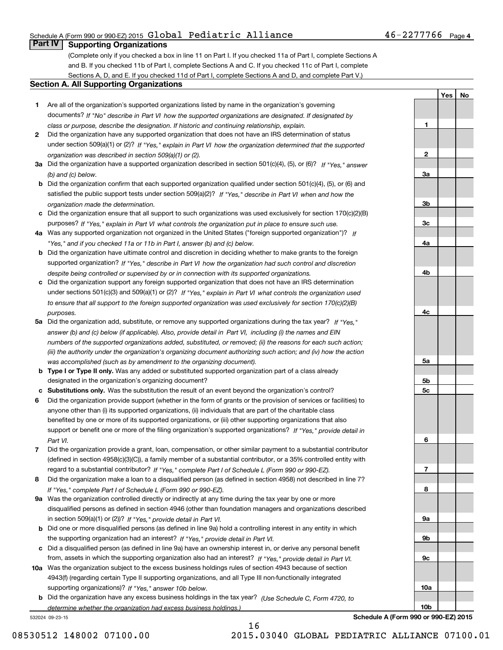#### Schedule A (Form 990 or 990-EZ) 2015  ${\sf Global \; Pediatric \; Alliance} \hspace{1.5cm} 46-2277766 \;$  Page

### **Part IV Supporting Organizations**

(Complete only if you checked a box in line 11 on Part I. If you checked 11a of Part I, complete Sections A and B. If you checked 11b of Part I, complete Sections A and C. If you checked 11c of Part I, complete Sections A, D, and E. If you checked 11d of Part I, complete Sections A and D, and complete Part V.)

#### **Section A. All Supporting Organizations**

- **1** Are all of the organization's supported organizations listed by name in the organization's governing *If "No" describe in how the supported organizations are designated. If designated by* documents? *Part VI class or purpose, describe the designation. If historic and continuing relationship, explain.*
- **2** Did the organization have any supported organization that does not have an IRS determination of status under section 509(a)(1) or (2)? If "Yes," explain in Part VI how the organization determined that the supported *organization was described in section 509(a)(1) or (2).*
- **3a** Did the organization have a supported organization described in section 501(c)(4), (5), or (6)? If "Yes," answer *(b) and (c) below.*
- **b** Did the organization confirm that each supported organization qualified under section 501(c)(4), (5), or (6) and satisfied the public support tests under section 509(a)(2)? If "Yes," describe in Part VI when and how the *organization made the determination.*
- **c**Did the organization ensure that all support to such organizations was used exclusively for section 170(c)(2)(B) purposes? If "Yes," explain in Part VI what controls the organization put in place to ensure such use.
- **4a***If* Was any supported organization not organized in the United States ("foreign supported organization")? *"Yes," and if you checked 11a or 11b in Part I, answer (b) and (c) below.*
- **b** Did the organization have ultimate control and discretion in deciding whether to make grants to the foreign supported organization? If "Yes," describe in Part VI how the organization had such control and discretion *despite being controlled or supervised by or in connection with its supported organizations.*
- **c** Did the organization support any foreign supported organization that does not have an IRS determination under sections 501(c)(3) and 509(a)(1) or (2)? If "Yes," explain in Part VI what controls the organization used *to ensure that all support to the foreign supported organization was used exclusively for section 170(c)(2)(B) purposes.*
- **5a** Did the organization add, substitute, or remove any supported organizations during the tax year? If "Yes," answer (b) and (c) below (if applicable). Also, provide detail in Part VI, including (i) the names and EIN *numbers of the supported organizations added, substituted, or removed; (ii) the reasons for each such action; (iii) the authority under the organization's organizing document authorizing such action; and (iv) how the action was accomplished (such as by amendment to the organizing document).*
- **b** Type I or Type II only. Was any added or substituted supported organization part of a class already designated in the organization's organizing document?
- **cSubstitutions only.**  Was the substitution the result of an event beyond the organization's control?
- **6** Did the organization provide support (whether in the form of grants or the provision of services or facilities) to *If "Yes," provide detail in* support or benefit one or more of the filing organization's supported organizations? anyone other than (i) its supported organizations, (ii) individuals that are part of the charitable class benefited by one or more of its supported organizations, or (iii) other supporting organizations that also *Part VI.*
- **7**Did the organization provide a grant, loan, compensation, or other similar payment to a substantial contributor *If "Yes," complete Part I of Schedule L (Form 990 or 990-EZ).* regard to a substantial contributor? (defined in section 4958(c)(3)(C)), a family member of a substantial contributor, or a 35% controlled entity with
- **8** Did the organization make a loan to a disqualified person (as defined in section 4958) not described in line 7? *If "Yes," complete Part I of Schedule L (Form 990 or 990-EZ).*
- **9a** Was the organization controlled directly or indirectly at any time during the tax year by one or more in section 509(a)(1) or (2))? If "Yes," *provide detail in Part VI.* disqualified persons as defined in section 4946 (other than foundation managers and organizations described
- **b** Did one or more disqualified persons (as defined in line 9a) hold a controlling interest in any entity in which the supporting organization had an interest? If "Yes," provide detail in Part VI.
- **c**Did a disqualified person (as defined in line 9a) have an ownership interest in, or derive any personal benefit from, assets in which the supporting organization also had an interest? If "Yes," provide detail in Part VI.
- **10a** Was the organization subject to the excess business holdings rules of section 4943 because of section supporting organizations)? If "Yes," answer 10b below. 4943(f) (regarding certain Type II supporting organizations, and all Type III non-functionally integrated
- **b** Did the organization have any excess business holdings in the tax year? (Use Schedule C, Form 4720, to *determine whether the organization had excess business holdings.)*

532024 09-23-15

**Schedule A (Form 990 or 990-EZ) 2015**

16

**1**

**2**

**3a**

**3b**

**3c**

**4a**

**4b**

**4c**

**5a**

**5b5c**

**6**

**7**

**8**

**9a**

**9b**

**9c**

**10a**

**YesNo**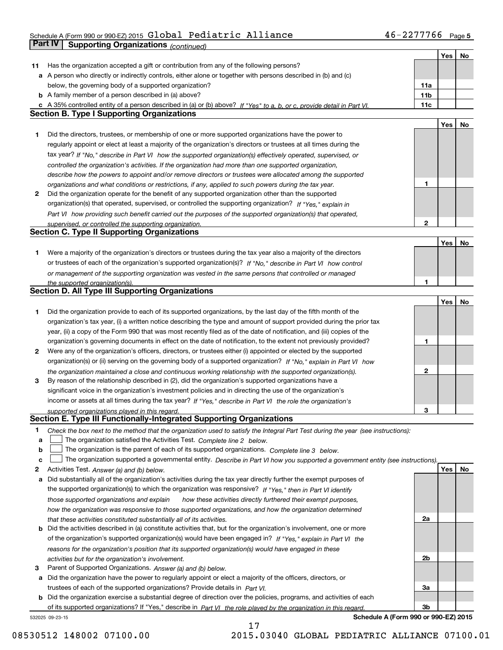### Schedule A (Form 990 or 990-EZ) 2015  ${\sf Global \; Pediatric \; Alliance} \hspace{1.5cm} 46-2277766 \;$  Page **Part IV** Supporting Organizations *(continued)*

|    |                                                                                                                                                                                                             |     | Yes | No |
|----|-------------------------------------------------------------------------------------------------------------------------------------------------------------------------------------------------------------|-----|-----|----|
| 11 | Has the organization accepted a gift or contribution from any of the following persons?                                                                                                                     |     |     |    |
| а  | A person who directly or indirectly controls, either alone or together with persons described in (b) and (c)                                                                                                |     |     |    |
|    | below, the governing body of a supported organization?                                                                                                                                                      | 11a |     |    |
|    | <b>b</b> A family member of a person described in (a) above?                                                                                                                                                | 11b |     |    |
|    | A 35% controlled entity of a person described in (a) or (b) above? If "Yes" to a, b, or c, provide detail in Part VI.                                                                                       | 11c |     |    |
|    | <b>Section B. Type I Supporting Organizations</b>                                                                                                                                                           |     |     |    |
|    |                                                                                                                                                                                                             |     | Yes | No |
| 1  | Did the directors, trustees, or membership of one or more supported organizations have the power to                                                                                                         |     |     |    |
|    | regularly appoint or elect at least a majority of the organization's directors or trustees at all times during the                                                                                          |     |     |    |
|    | tax year? If "No," describe in Part VI how the supported organization(s) effectively operated, supervised, or                                                                                               |     |     |    |
|    | controlled the organization's activities. If the organization had more than one supported organization,                                                                                                     |     |     |    |
|    | describe how the powers to appoint and/or remove directors or trustees were allocated among the supported                                                                                                   |     |     |    |
|    | organizations and what conditions or restrictions, if any, applied to such powers during the tax year.                                                                                                      | 1   |     |    |
| 2  | Did the organization operate for the benefit of any supported organization other than the supported                                                                                                         |     |     |    |
|    |                                                                                                                                                                                                             |     |     |    |
|    | organization(s) that operated, supervised, or controlled the supporting organization? If "Yes," explain in                                                                                                  |     |     |    |
|    | Part VI how providing such benefit carried out the purposes of the supported organization(s) that operated,                                                                                                 |     |     |    |
|    | supervised, or controlled the supporting organization.<br><b>Section C. Type II Supporting Organizations</b>                                                                                                | 2   |     |    |
|    |                                                                                                                                                                                                             |     |     |    |
|    |                                                                                                                                                                                                             |     | Yes | No |
| 1  | Were a majority of the organization's directors or trustees during the tax year also a majority of the directors                                                                                            |     |     |    |
|    | or trustees of each of the organization's supported organization(s)? If "No," describe in Part VI how control                                                                                               |     |     |    |
|    | or management of the supporting organization was vested in the same persons that controlled or managed                                                                                                      |     |     |    |
|    | the supported organization(s).                                                                                                                                                                              | 1   |     |    |
|    | <b>Section D. All Type III Supporting Organizations</b>                                                                                                                                                     |     |     |    |
|    |                                                                                                                                                                                                             |     | Yes | No |
| 1  | Did the organization provide to each of its supported organizations, by the last day of the fifth month of the                                                                                              |     |     |    |
|    | organization's tax year, (i) a written notice describing the type and amount of support provided during the prior tax                                                                                       |     |     |    |
|    | year, (ii) a copy of the Form 990 that was most recently filed as of the date of notification, and (iii) copies of the                                                                                      |     |     |    |
|    | organization's governing documents in effect on the date of notification, to the extent not previously provided?                                                                                            | 1   |     |    |
| 2  | Were any of the organization's officers, directors, or trustees either (i) appointed or elected by the supported                                                                                            |     |     |    |
|    | organization(s) or (ii) serving on the governing body of a supported organization? If "No," explain in Part VI how                                                                                          |     |     |    |
|    | the organization maintained a close and continuous working relationship with the supported organization(s).                                                                                                 | 2   |     |    |
| з  | By reason of the relationship described in (2), did the organization's supported organizations have a                                                                                                       |     |     |    |
|    | significant voice in the organization's investment policies and in directing the use of the organization's                                                                                                  |     |     |    |
|    | income or assets at all times during the tax year? If "Yes," describe in Part VI the role the organization's                                                                                                |     |     |    |
|    | supported organizations played in this regard.                                                                                                                                                              | 3   |     |    |
|    | Section E. Type III Functionally-Integrated Supporting Organizations                                                                                                                                        |     |     |    |
| 1  |                                                                                                                                                                                                             |     |     |    |
| a  | Check the box next to the method that the organization used to satisfy the Integral Part Test during the year (see instructions):<br>The organization satisfied the Activities Test. Complete line 2 below. |     |     |    |
| b  | The organization is the parent of each of its supported organizations. Complete line 3 below.                                                                                                               |     |     |    |
|    |                                                                                                                                                                                                             |     |     |    |
| с  | The organization supported a governmental entity. Describe in Part VI how you supported a government entity (see instructions).                                                                             |     | Yes |    |
| 2  | Activities Test. Answer (a) and (b) below.                                                                                                                                                                  |     |     | No |
| а  | Did substantially all of the organization's activities during the tax year directly further the exempt purposes of                                                                                          |     |     |    |
|    | the supported organization(s) to which the organization was responsive? If "Yes," then in Part VI identify                                                                                                  |     |     |    |
|    | those supported organizations and explain<br>how these activities directly furthered their exempt purposes,                                                                                                 |     |     |    |
|    | how the organization was responsive to those supported organizations, and how the organization determined                                                                                                   |     |     |    |
|    | that these activities constituted substantially all of its activities.                                                                                                                                      | 2a  |     |    |
| b  | Did the activities described in (a) constitute activities that, but for the organization's involvement, one or more                                                                                         |     |     |    |
|    | of the organization's supported organization(s) would have been engaged in? If "Yes," explain in Part VI the                                                                                                |     |     |    |
|    | reasons for the organization's position that its supported organization(s) would have engaged in these                                                                                                      |     |     |    |
|    | activities but for the organization's involvement.                                                                                                                                                          | 2b  |     |    |
| з  | Parent of Supported Organizations. Answer (a) and (b) below.                                                                                                                                                |     |     |    |
| а  | Did the organization have the power to regularly appoint or elect a majority of the officers, directors, or                                                                                                 |     |     |    |
|    | trustees of each of the supported organizations? Provide details in Part VI.                                                                                                                                | За  |     |    |
| b  | Did the organization exercise a substantial degree of direction over the policies, programs, and activities of each                                                                                         |     |     |    |
|    | of its supported organizations? If "Yes," describe in Part VI the role played by the organization in this regard.                                                                                           | 3b  |     |    |
|    |                                                                                                                                                                                                             |     |     |    |

17

532025 09-23-15

**Schedule A (Form 990 or 990-EZ) 2015**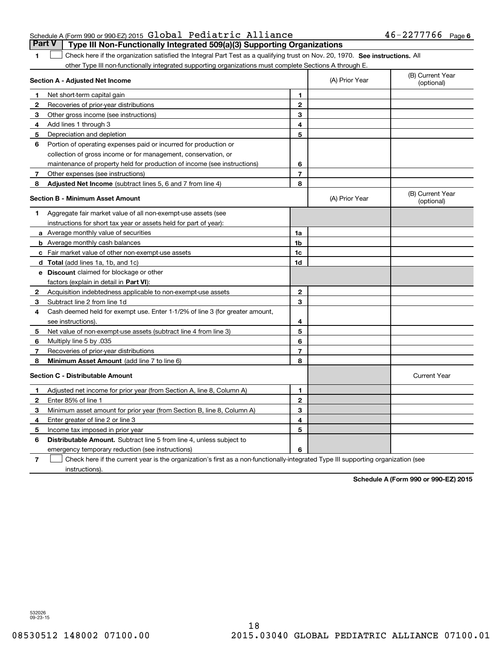#### Schedule A (Form 990 or 990-EZ) 2015  ${\sf Global \; Pediatric \; Alliance} \hspace{1.5cm} 46-2277766 \;$  Page **Part V** Type III Non-Functionally Integrated 509(a)(3) Supporting Organizations

1 Check here if the organization satisfied the Integral Part Test as a qualifying trust on Nov. 20, 1970. See instructions. All other Type III non-functionally integrated supporting organizations must complete Sections A through E.

|              | Section A - Adjusted Net Income                                              | (A) Prior Year | (B) Current Year<br>(optional) |                                |
|--------------|------------------------------------------------------------------------------|----------------|--------------------------------|--------------------------------|
| 1            | Net short-term capital gain                                                  | 1              |                                |                                |
| 2            | Recoveries of prior-year distributions                                       | $\overline{2}$ |                                |                                |
| 3            | Other gross income (see instructions)                                        | 3              |                                |                                |
| 4            | Add lines 1 through 3                                                        | 4              |                                |                                |
| 5            | Depreciation and depletion                                                   | 5              |                                |                                |
| 6            | Portion of operating expenses paid or incurred for production or             |                |                                |                                |
|              | collection of gross income or for management, conservation, or               |                |                                |                                |
|              | maintenance of property held for production of income (see instructions)     | 6              |                                |                                |
| 7            | Other expenses (see instructions)                                            | $\overline{7}$ |                                |                                |
| 8            | <b>Adjusted Net Income</b> (subtract lines 5, 6 and 7 from line 4)           | 8              |                                |                                |
|              | <b>Section B - Minimum Asset Amount</b>                                      |                | (A) Prior Year                 | (B) Current Year<br>(optional) |
| 1            | Aggregate fair market value of all non-exempt-use assets (see                |                |                                |                                |
|              | instructions for short tax year or assets held for part of year):            |                |                                |                                |
|              | <b>a</b> Average monthly value of securities                                 | 1a             |                                |                                |
|              | <b>b</b> Average monthly cash balances                                       | 1b             |                                |                                |
|              | c Fair market value of other non-exempt-use assets                           | 1c             |                                |                                |
|              | <b>d</b> Total (add lines 1a, 1b, and 1c)                                    | 1d             |                                |                                |
|              | e Discount claimed for blockage or other                                     |                |                                |                                |
|              | factors (explain in detail in Part VI):                                      |                |                                |                                |
| 2            | Acquisition indebtedness applicable to non-exempt-use assets                 | $\mathbf{2}$   |                                |                                |
| 3            | Subtract line 2 from line 1d                                                 | 3              |                                |                                |
| 4            | Cash deemed held for exempt use. Enter 1-1/2% of line 3 (for greater amount, |                |                                |                                |
|              | see instructions).                                                           | 4              |                                |                                |
| 5            | Net value of non-exempt-use assets (subtract line 4 from line 3)             | 5              |                                |                                |
| 6            | Multiply line 5 by .035                                                      | 6              |                                |                                |
| 7            | Recoveries of prior-year distributions                                       | $\overline{7}$ |                                |                                |
| 8            | Minimum Asset Amount (add line 7 to line 6)                                  | 8              |                                |                                |
|              | <b>Section C - Distributable Amount</b>                                      |                |                                | <b>Current Year</b>            |
| 1            | Adjusted net income for prior year (from Section A, line 8, Column A)        | 1              |                                |                                |
| $\mathbf{2}$ | Enter 85% of line 1                                                          | $\mathbf{2}$   |                                |                                |
| 3            | Minimum asset amount for prior year (from Section B, line 8, Column A)       | 3              |                                |                                |
| 4            | Enter greater of line 2 or line 3                                            | 4              |                                |                                |
| 5            | Income tax imposed in prior year                                             | 5              |                                |                                |
| 6            | <b>Distributable Amount.</b> Subtract line 5 from line 4, unless subject to  |                |                                |                                |
|              | emergency temporary reduction (see instructions)                             | 6              |                                |                                |
|              |                                                                              |                |                                |                                |

**7**Check here if the current year is the organization's first as a non-functionally-integrated Type III supporting organization (see instructions).

**Schedule A (Form 990 or 990-EZ) 2015**

532026 09-23-15

**1**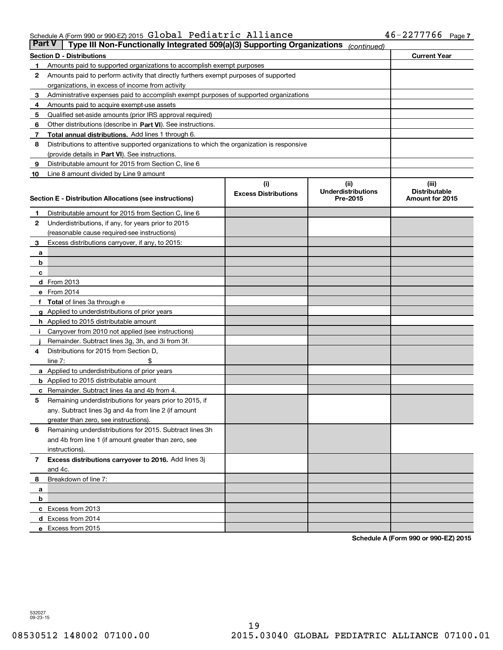#### Schedule A (Form 990 or 990-EZ) 2015 GIODAI Pediatric Alliance 46-2277766 Page Global Pediatric Alliance 46-2277766

| <b>Part V</b> | Type III Non-Functionally Integrated 509(a)(3) Supporting Organizations                    |                             | (continued)               |                      |  |  |  |
|---------------|--------------------------------------------------------------------------------------------|-----------------------------|---------------------------|----------------------|--|--|--|
|               | <b>Section D - Distributions</b>                                                           |                             |                           | <b>Current Year</b>  |  |  |  |
| 1             | Amounts paid to supported organizations to accomplish exempt purposes                      |                             |                           |                      |  |  |  |
| 2             | Amounts paid to perform activity that directly furthers exempt purposes of supported       |                             |                           |                      |  |  |  |
|               | organizations, in excess of income from activity                                           |                             |                           |                      |  |  |  |
| з             | Administrative expenses paid to accomplish exempt purposes of supported organizations      |                             |                           |                      |  |  |  |
| 4             | Amounts paid to acquire exempt-use assets                                                  |                             |                           |                      |  |  |  |
| 5             | Qualified set-aside amounts (prior IRS approval required)                                  |                             |                           |                      |  |  |  |
| 6             | Other distributions (describe in Part VI). See instructions.                               |                             |                           |                      |  |  |  |
| 7             | Total annual distributions. Add lines 1 through 6.                                         |                             |                           |                      |  |  |  |
| 8             | Distributions to attentive supported organizations to which the organization is responsive |                             |                           |                      |  |  |  |
|               | (provide details in Part VI). See instructions.                                            |                             |                           |                      |  |  |  |
| 9             | Distributable amount for 2015 from Section C, line 6                                       |                             |                           |                      |  |  |  |
| 10            | Line 8 amount divided by Line 9 amount                                                     |                             |                           |                      |  |  |  |
|               |                                                                                            | (i)                         | (iii)                     | (iii)                |  |  |  |
|               |                                                                                            | <b>Excess Distributions</b> | <b>Underdistributions</b> | <b>Distributable</b> |  |  |  |
|               | Section E - Distribution Allocations (see instructions)                                    |                             | Pre-2015                  | Amount for 2015      |  |  |  |
| 1             | Distributable amount for 2015 from Section C, line 6                                       |                             |                           |                      |  |  |  |
| 2             | Underdistributions, if any, for years prior to 2015                                        |                             |                           |                      |  |  |  |
|               | (reasonable cause required-see instructions)                                               |                             |                           |                      |  |  |  |
| 3             | Excess distributions carryover, if any, to 2015:                                           |                             |                           |                      |  |  |  |
| а             |                                                                                            |                             |                           |                      |  |  |  |
| b             |                                                                                            |                             |                           |                      |  |  |  |
| c             |                                                                                            |                             |                           |                      |  |  |  |
|               | d From 2013                                                                                |                             |                           |                      |  |  |  |
|               | e From 2014                                                                                |                             |                           |                      |  |  |  |
|               | Total of lines 3a through e                                                                |                             |                           |                      |  |  |  |
|               | <b>g</b> Applied to underdistributions of prior years                                      |                             |                           |                      |  |  |  |
|               | <b>h</b> Applied to 2015 distributable amount                                              |                             |                           |                      |  |  |  |
|               | Carryover from 2010 not applied (see instructions)                                         |                             |                           |                      |  |  |  |
|               | Remainder. Subtract lines 3g, 3h, and 3i from 3f.                                          |                             |                           |                      |  |  |  |
| 4             | Distributions for 2015 from Section D,                                                     |                             |                           |                      |  |  |  |
|               | line $7:$                                                                                  |                             |                           |                      |  |  |  |
|               | a Applied to underdistributions of prior years                                             |                             |                           |                      |  |  |  |
|               | <b>b</b> Applied to 2015 distributable amount                                              |                             |                           |                      |  |  |  |
| с             | Remainder. Subtract lines 4a and 4b from 4.                                                |                             |                           |                      |  |  |  |
| 5             | Remaining underdistributions for years prior to 2015, if                                   |                             |                           |                      |  |  |  |
|               | any. Subtract lines 3g and 4a from line 2 (if amount                                       |                             |                           |                      |  |  |  |
|               | greater than zero, see instructions).                                                      |                             |                           |                      |  |  |  |
| 6             | Remaining underdistributions for 2015. Subtract lines 3h                                   |                             |                           |                      |  |  |  |
|               | and 4b from line 1 (if amount greater than zero, see                                       |                             |                           |                      |  |  |  |
|               | instructions).                                                                             |                             |                           |                      |  |  |  |
| 7             | Excess distributions carryover to 2016. Add lines 3j                                       |                             |                           |                      |  |  |  |
|               | and 4c.                                                                                    |                             |                           |                      |  |  |  |
| 8             | Breakdown of line 7:                                                                       |                             |                           |                      |  |  |  |
| a             |                                                                                            |                             |                           |                      |  |  |  |
| b             |                                                                                            |                             |                           |                      |  |  |  |
|               | c Excess from 2013                                                                         |                             |                           |                      |  |  |  |
|               | d Excess from 2014                                                                         |                             |                           |                      |  |  |  |
|               | e Excess from 2015                                                                         |                             |                           |                      |  |  |  |
|               |                                                                                            |                             |                           |                      |  |  |  |

**Schedule A (Form 990 or 990-EZ) 2015**

532027 09-23-15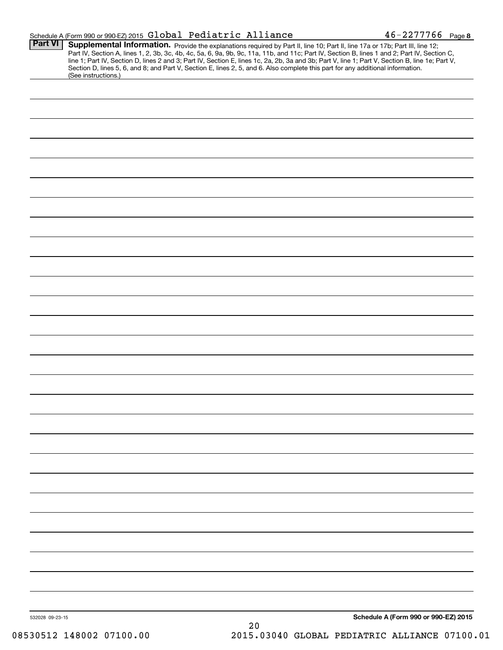|                 | Schedule A (Form 990 or 990-EZ) 2015 Global Pediatric Alliance                                                                                                                                                                                                                                                                                                                                                                                                                                                                                                                             | $46 - 227$ 7766 Page 8               |
|-----------------|--------------------------------------------------------------------------------------------------------------------------------------------------------------------------------------------------------------------------------------------------------------------------------------------------------------------------------------------------------------------------------------------------------------------------------------------------------------------------------------------------------------------------------------------------------------------------------------------|--------------------------------------|
| <b>Part VI</b>  | Supplemental Information. Provide the explanations required by Part II, line 10; Part II, line 17a or 17b; Part III, line 12;<br>Part IV, Section A, lines 1, 2, 3b, 3c, 4b, 4c, 5a, 6, 9a, 9b, 9c, 11a, 11b, and 11c; Part IV, Section B, lines 1 and 2; Part IV, Section C,<br>line 1; Part IV, Section D, lines 2 and 3; Part IV, Section E, lines 1c, 2a, 2b, 3a and 3b; Part V, line 1; Part V, Section B, line 1e; Part V,<br>Section D, lines 5, 6, and 8; and Part V, Section E, lines 2, 5, and 6. Also complete this part for any additional information.<br>(See instructions.) |                                      |
|                 |                                                                                                                                                                                                                                                                                                                                                                                                                                                                                                                                                                                            |                                      |
|                 |                                                                                                                                                                                                                                                                                                                                                                                                                                                                                                                                                                                            |                                      |
|                 |                                                                                                                                                                                                                                                                                                                                                                                                                                                                                                                                                                                            |                                      |
|                 |                                                                                                                                                                                                                                                                                                                                                                                                                                                                                                                                                                                            |                                      |
|                 |                                                                                                                                                                                                                                                                                                                                                                                                                                                                                                                                                                                            |                                      |
|                 |                                                                                                                                                                                                                                                                                                                                                                                                                                                                                                                                                                                            |                                      |
|                 |                                                                                                                                                                                                                                                                                                                                                                                                                                                                                                                                                                                            |                                      |
|                 |                                                                                                                                                                                                                                                                                                                                                                                                                                                                                                                                                                                            |                                      |
|                 |                                                                                                                                                                                                                                                                                                                                                                                                                                                                                                                                                                                            |                                      |
|                 |                                                                                                                                                                                                                                                                                                                                                                                                                                                                                                                                                                                            |                                      |
|                 |                                                                                                                                                                                                                                                                                                                                                                                                                                                                                                                                                                                            |                                      |
|                 |                                                                                                                                                                                                                                                                                                                                                                                                                                                                                                                                                                                            |                                      |
|                 |                                                                                                                                                                                                                                                                                                                                                                                                                                                                                                                                                                                            |                                      |
|                 |                                                                                                                                                                                                                                                                                                                                                                                                                                                                                                                                                                                            |                                      |
|                 |                                                                                                                                                                                                                                                                                                                                                                                                                                                                                                                                                                                            |                                      |
|                 |                                                                                                                                                                                                                                                                                                                                                                                                                                                                                                                                                                                            |                                      |
|                 |                                                                                                                                                                                                                                                                                                                                                                                                                                                                                                                                                                                            |                                      |
|                 |                                                                                                                                                                                                                                                                                                                                                                                                                                                                                                                                                                                            |                                      |
|                 |                                                                                                                                                                                                                                                                                                                                                                                                                                                                                                                                                                                            |                                      |
|                 |                                                                                                                                                                                                                                                                                                                                                                                                                                                                                                                                                                                            |                                      |
|                 |                                                                                                                                                                                                                                                                                                                                                                                                                                                                                                                                                                                            |                                      |
|                 |                                                                                                                                                                                                                                                                                                                                                                                                                                                                                                                                                                                            |                                      |
|                 |                                                                                                                                                                                                                                                                                                                                                                                                                                                                                                                                                                                            |                                      |
|                 |                                                                                                                                                                                                                                                                                                                                                                                                                                                                                                                                                                                            |                                      |
|                 |                                                                                                                                                                                                                                                                                                                                                                                                                                                                                                                                                                                            |                                      |
|                 |                                                                                                                                                                                                                                                                                                                                                                                                                                                                                                                                                                                            |                                      |
|                 |                                                                                                                                                                                                                                                                                                                                                                                                                                                                                                                                                                                            |                                      |
|                 |                                                                                                                                                                                                                                                                                                                                                                                                                                                                                                                                                                                            |                                      |
| 532028 09-23-15 |                                                                                                                                                                                                                                                                                                                                                                                                                                                                                                                                                                                            | Schedule A (Form 990 or 990-EZ) 2015 |

20 08530512 148002 07100.00 2015.03040 GLOBAL PEDIATRIC ALLIANCE 07100.01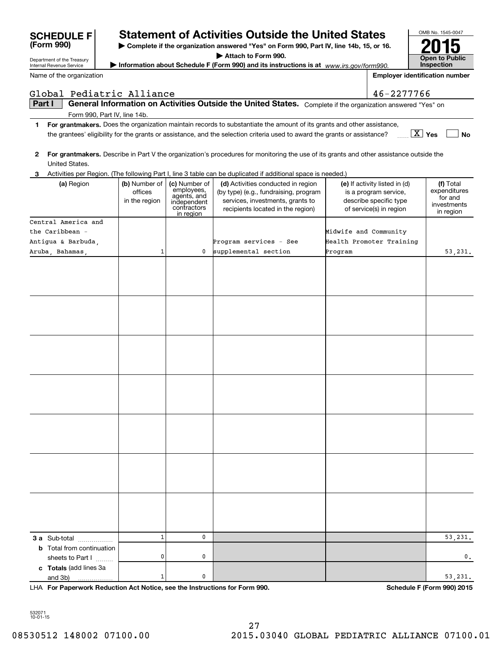|    | Global Pediatric Alliance                         |               |                                                         |                                                                                                                                         |                       | 46-2277766                                        |                           |
|----|---------------------------------------------------|---------------|---------------------------------------------------------|-----------------------------------------------------------------------------------------------------------------------------------------|-----------------------|---------------------------------------------------|---------------------------|
|    | Part I                                            |               |                                                         | General Information on Activities Outside the United States. Complete if the organization answered "Yes" on                             |                       |                                                   |                           |
|    | Form 990, Part IV, line 14b.                      |               |                                                         |                                                                                                                                         |                       |                                                   |                           |
| 1. |                                                   |               |                                                         | For grantmakers. Does the organization maintain records to substantiate the amount of its grants and other assistance,                  |                       |                                                   |                           |
|    |                                                   |               |                                                         | the grantees' eligibility for the grants or assistance, and the selection criteria used to award the grants or assistance?              |                       | $\boxed{\text{X}}$ Yes                            | No                        |
|    |                                                   |               |                                                         |                                                                                                                                         |                       |                                                   |                           |
| 2  |                                                   |               |                                                         | For grantmakers. Describe in Part V the organization's procedures for monitoring the use of its grants and other assistance outside the |                       |                                                   |                           |
|    | United States.                                    |               |                                                         |                                                                                                                                         |                       |                                                   |                           |
| З. |                                                   |               |                                                         | Activities per Region. (The following Part I, line 3 table can be duplicated if additional space is needed.)                            |                       |                                                   |                           |
|    | (a) Region                                        | (b) Number of | (c) Number of                                           | (d) Activities conducted in region                                                                                                      |                       | (e) If activity listed in (d)                     | (f) Total<br>expenditures |
|    |                                                   | offices       | employees,<br>agents, and<br>independent<br>contractors | (by type) (e.g., fundraising, program                                                                                                   |                       | is a program service,                             | for and                   |
|    |                                                   | in the region |                                                         | services, investments, grants to<br>recipients located in the region)                                                                   |                       | describe specific type<br>of service(s) in region | investments               |
|    |                                                   |               | in region                                               |                                                                                                                                         |                       |                                                   | in region                 |
|    | Central America and                               |               |                                                         |                                                                                                                                         |                       |                                                   |                           |
|    | the Caribbean -                                   |               |                                                         |                                                                                                                                         | Midwife and Community |                                                   |                           |
|    | Antigua & Barbuda,                                |               |                                                         | Program services - See                                                                                                                  |                       | Health Promoter Training                          |                           |
|    | Aruba, Bahamas,                                   | 1             | 0                                                       | supplemental section                                                                                                                    | Program               |                                                   | 53,231.                   |
|    |                                                   |               |                                                         |                                                                                                                                         |                       |                                                   |                           |
|    |                                                   |               |                                                         |                                                                                                                                         |                       |                                                   |                           |
|    |                                                   |               |                                                         |                                                                                                                                         |                       |                                                   |                           |
|    |                                                   |               |                                                         |                                                                                                                                         |                       |                                                   |                           |
|    |                                                   |               |                                                         |                                                                                                                                         |                       |                                                   |                           |
|    |                                                   |               |                                                         |                                                                                                                                         |                       |                                                   |                           |
|    |                                                   |               |                                                         |                                                                                                                                         |                       |                                                   |                           |
|    |                                                   |               |                                                         |                                                                                                                                         |                       |                                                   |                           |
|    |                                                   |               |                                                         |                                                                                                                                         |                       |                                                   |                           |
|    |                                                   |               |                                                         |                                                                                                                                         |                       |                                                   |                           |
|    |                                                   |               |                                                         |                                                                                                                                         |                       |                                                   |                           |
|    |                                                   |               |                                                         |                                                                                                                                         |                       |                                                   |                           |
|    |                                                   |               |                                                         |                                                                                                                                         |                       |                                                   |                           |
|    |                                                   |               |                                                         |                                                                                                                                         |                       |                                                   |                           |
|    |                                                   |               |                                                         |                                                                                                                                         |                       |                                                   |                           |
|    |                                                   |               |                                                         |                                                                                                                                         |                       |                                                   |                           |
|    |                                                   |               |                                                         |                                                                                                                                         |                       |                                                   |                           |
|    |                                                   |               |                                                         |                                                                                                                                         |                       |                                                   |                           |
|    |                                                   |               |                                                         |                                                                                                                                         |                       |                                                   |                           |
|    |                                                   |               |                                                         |                                                                                                                                         |                       |                                                   |                           |
|    |                                                   |               |                                                         |                                                                                                                                         |                       |                                                   |                           |
|    |                                                   |               |                                                         |                                                                                                                                         |                       |                                                   |                           |
|    |                                                   |               |                                                         |                                                                                                                                         |                       |                                                   |                           |
|    |                                                   |               |                                                         |                                                                                                                                         |                       |                                                   |                           |
|    |                                                   |               |                                                         |                                                                                                                                         |                       |                                                   |                           |
|    |                                                   |               |                                                         |                                                                                                                                         |                       |                                                   |                           |
|    |                                                   |               |                                                         |                                                                                                                                         |                       |                                                   |                           |
|    |                                                   | $\mathbf{1}$  | $\mathbf 0$                                             |                                                                                                                                         |                       |                                                   | 53,231.                   |
|    | 3 a Sub-total<br><b>b</b> Total from continuation |               |                                                         |                                                                                                                                         |                       |                                                   |                           |
|    | sheets to Part I                                  | 0             | 0                                                       |                                                                                                                                         |                       |                                                   | 0,                        |
|    | c Totals (add lines 3a                            |               |                                                         |                                                                                                                                         |                       |                                                   |                           |
|    | and 3b)<br>.                                      | $\mathbf 1$   | 0                                                       |                                                                                                                                         |                       |                                                   | 53,231.                   |
|    |                                                   |               |                                                         |                                                                                                                                         |                       |                                                   |                           |

**For Paperwork Reduction Act Notice, see the Instructions for Form 990. Schedule F (Form 990) 2015** LHA

**Statement of Activities Outside the United States** 

**| Complete if the organization answered "Yes" on Form 990, Part IV, line 14b, 15, or 16. | Attach to Form 990.**

**| Information about Schedule F (Form 990) and its instructions is at**  *www.irs.gov/form990.*

**InspectionEmployer identification number**

OMB No. 1545-0047

**Open to Public** 

**2015**

532071 10-01-15

Department of the Treasury Internal Revenue Service **(Form 990)**

|  | Name of the organization |
|--|--------------------------|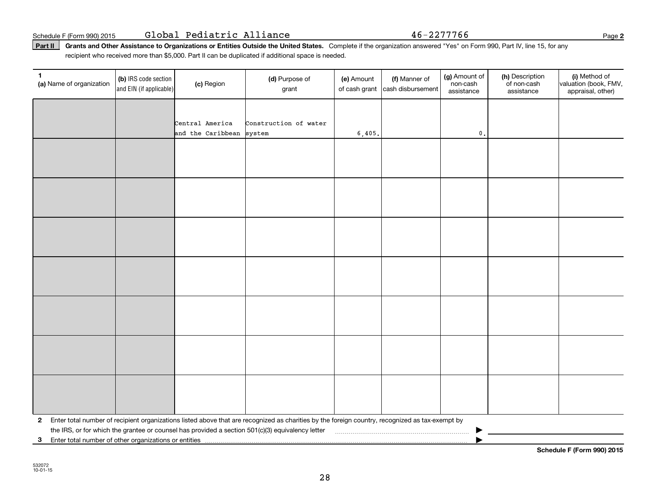Schedule F (Form 990) 2015 Page Global Pediatric Alliance 46-2277766

Part II | Grants and Other Assistance to Organizations or Entities Outside the United States. Complete if the organization answered "Yes" on Form 990, Part IV, line 15, for any recipient who received more than \$5,000. Part II can be duplicated if additional space is needed.

| 1<br>(a) Name of organization | (b) IRS code section<br>and EIN (if applicable)                                                                                                           | (c) Region        | (d) Purpose of<br>grant                                                                                                                         | (e) Amount<br>of cash grant | (f) Manner of<br>cash disbursement | (g) Amount of<br>non-cash<br>assistance | (h) Description<br>of non-cash<br>assistance | (i) Method of<br>valuation (book, FMV,<br>appraisal, other) |
|-------------------------------|-----------------------------------------------------------------------------------------------------------------------------------------------------------|-------------------|-------------------------------------------------------------------------------------------------------------------------------------------------|-----------------------------|------------------------------------|-----------------------------------------|----------------------------------------------|-------------------------------------------------------------|
|                               |                                                                                                                                                           |                   |                                                                                                                                                 |                             |                                    |                                         |                                              |                                                             |
|                               |                                                                                                                                                           | Central America   | Construction of water                                                                                                                           |                             |                                    |                                         |                                              |                                                             |
|                               |                                                                                                                                                           | and the Caribbean | system                                                                                                                                          | 6,405.                      |                                    | $\mathfrak o$ .                         |                                              |                                                             |
|                               |                                                                                                                                                           |                   |                                                                                                                                                 |                             |                                    |                                         |                                              |                                                             |
|                               |                                                                                                                                                           |                   |                                                                                                                                                 |                             |                                    |                                         |                                              |                                                             |
|                               |                                                                                                                                                           |                   |                                                                                                                                                 |                             |                                    |                                         |                                              |                                                             |
|                               |                                                                                                                                                           |                   |                                                                                                                                                 |                             |                                    |                                         |                                              |                                                             |
|                               |                                                                                                                                                           |                   |                                                                                                                                                 |                             |                                    |                                         |                                              |                                                             |
|                               |                                                                                                                                                           |                   |                                                                                                                                                 |                             |                                    |                                         |                                              |                                                             |
|                               |                                                                                                                                                           |                   |                                                                                                                                                 |                             |                                    |                                         |                                              |                                                             |
|                               |                                                                                                                                                           |                   |                                                                                                                                                 |                             |                                    |                                         |                                              |                                                             |
|                               |                                                                                                                                                           |                   |                                                                                                                                                 |                             |                                    |                                         |                                              |                                                             |
|                               |                                                                                                                                                           |                   |                                                                                                                                                 |                             |                                    |                                         |                                              |                                                             |
|                               |                                                                                                                                                           |                   |                                                                                                                                                 |                             |                                    |                                         |                                              |                                                             |
|                               |                                                                                                                                                           |                   |                                                                                                                                                 |                             |                                    |                                         |                                              |                                                             |
|                               |                                                                                                                                                           |                   |                                                                                                                                                 |                             |                                    |                                         |                                              |                                                             |
|                               |                                                                                                                                                           |                   |                                                                                                                                                 |                             |                                    |                                         |                                              |                                                             |
|                               |                                                                                                                                                           |                   |                                                                                                                                                 |                             |                                    |                                         |                                              |                                                             |
|                               |                                                                                                                                                           |                   |                                                                                                                                                 |                             |                                    |                                         |                                              |                                                             |
|                               |                                                                                                                                                           |                   |                                                                                                                                                 |                             |                                    |                                         |                                              |                                                             |
|                               |                                                                                                                                                           |                   |                                                                                                                                                 |                             |                                    |                                         |                                              |                                                             |
|                               |                                                                                                                                                           |                   |                                                                                                                                                 |                             |                                    |                                         |                                              |                                                             |
| 2                             |                                                                                                                                                           |                   | Enter total number of recipient organizations listed above that are recognized as charities by the foreign country, recognized as tax-exempt by |                             |                                    |                                         |                                              |                                                             |
| 3                             | the IRS, or for which the grantee or counsel has provided a section 501(c)(3) equivalency letter<br>Enter total number of other organizations or entities |                   |                                                                                                                                                 |                             |                                    |                                         |                                              |                                                             |

532072 10-01-15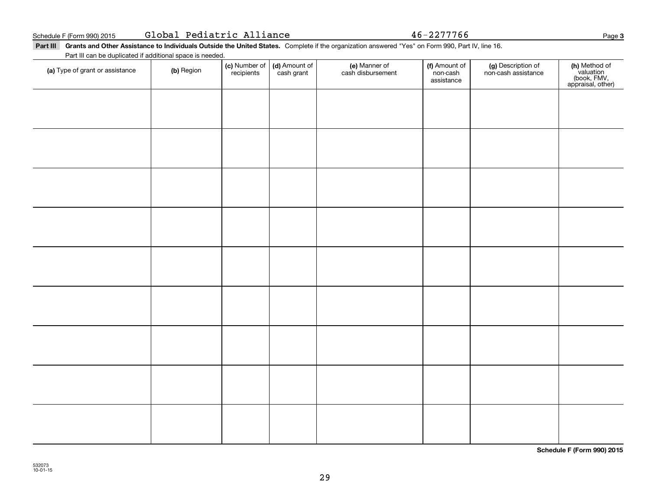|  | Global Pediatric Alliance |  |
|--|---------------------------|--|
|--|---------------------------|--|

Global Pediatric Alliance 46-2277766

Part III Grants and Other Assistance to Individuals Outside the United States. Complete if the organization answered "Yes" on Form 990, Part IV, line 16. Part III can be duplicated if additional space is needed.

| (a) Type of grant or assistance | (b) Region | (c) Number of<br>recipients | (d) Amount of<br>cash grant | (e) Manner of<br>cash disbursement | (f) Amount of<br>non-cash<br>assistance | (g) Description of<br>non-cash assistance | (h) Method of<br>valuation<br>(book, FMV,<br>appraisal, other) |
|---------------------------------|------------|-----------------------------|-----------------------------|------------------------------------|-----------------------------------------|-------------------------------------------|----------------------------------------------------------------|
|                                 |            |                             |                             |                                    |                                         |                                           |                                                                |
|                                 |            |                             |                             |                                    |                                         |                                           |                                                                |
|                                 |            |                             |                             |                                    |                                         |                                           |                                                                |
|                                 |            |                             |                             |                                    |                                         |                                           |                                                                |
|                                 |            |                             |                             |                                    |                                         |                                           |                                                                |
|                                 |            |                             |                             |                                    |                                         |                                           |                                                                |
|                                 |            |                             |                             |                                    |                                         |                                           |                                                                |
|                                 |            |                             |                             |                                    |                                         |                                           |                                                                |
|                                 |            |                             |                             |                                    |                                         |                                           |                                                                |
|                                 |            |                             |                             |                                    |                                         |                                           |                                                                |
|                                 |            |                             |                             |                                    |                                         |                                           |                                                                |
|                                 |            |                             |                             |                                    |                                         |                                           |                                                                |

**Schedule F (Form 990) 2015**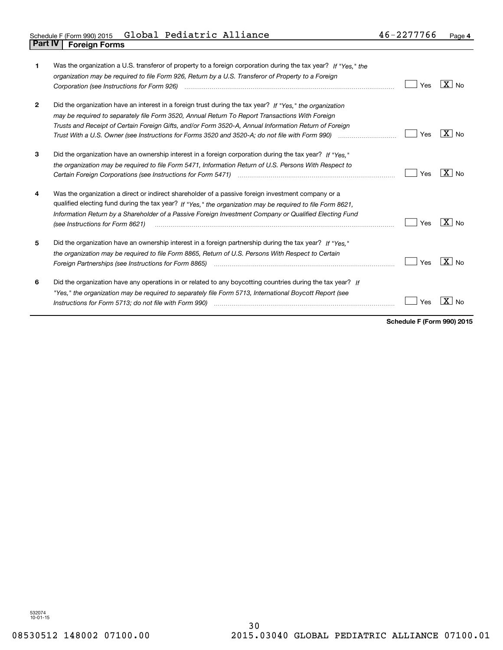| 1            | Was the organization a U.S. transferor of property to a foreign corporation during the tax year? If "Yes." the<br>organization may be required to file Form 926, Return by a U.S. Transferor of Property to a Foreign<br>Corporation (see Instructions for Form 926)                                                                                                                                                                     | Yes | $X \mid N_{0}$      |
|--------------|------------------------------------------------------------------------------------------------------------------------------------------------------------------------------------------------------------------------------------------------------------------------------------------------------------------------------------------------------------------------------------------------------------------------------------------|-----|---------------------|
| $\mathbf{2}$ | Did the organization have an interest in a foreign trust during the tax year? If "Yes," the organization<br>may be required to separately file Form 3520, Annual Return To Report Transactions With Foreign<br>Trusts and Receipt of Certain Foreign Gifts, and/or Form 3520-A, Annual Information Return of Foreign<br>Trust With a U.S. Owner (see Instructions for Forms 3520 and 3520-A; do not file with Form 990) manu-communition | Yes | $ X _{\text{No}}$   |
| 3            | Did the organization have an ownership interest in a foreign corporation during the tax year? If "Yes."<br>the organization may be required to file Form 5471, Information Return of U.S. Persons With Respect to                                                                                                                                                                                                                        | Yes | X I No              |
| 4            | Was the organization a direct or indirect shareholder of a passive foreign investment company or a<br>qualified electing fund during the tax year? If "Yes," the organization may be required to file Form 8621,<br>Information Return by a Shareholder of a Passive Foreign Investment Company or Qualified Electing Fund<br>(see Instructions for Form 8621)                                                                           | Yes | $X _{N0}$           |
| 5            | Did the organization have an ownership interest in a foreign partnership during the tax year? If "Yes."<br>the organization may be required to file Form 8865, Return of U.S. Persons With Respect to Certain<br>Foreign Partnerships (see Instructions for Form 8865)                                                                                                                                                                   | Yes | $X \mid N_{\Omega}$ |
| 6            | Did the organization have any operations in or related to any boycotting countries during the tax year? If<br>"Yes," the organization may be required to separately file Form 5713, International Boycott Report (see<br>Instructions for Form 5713; do not file with Form 990) manufactured contained and resource in the intervention                                                                                                  | Yes | No                  |

**Schedule F (Form 990) 2015**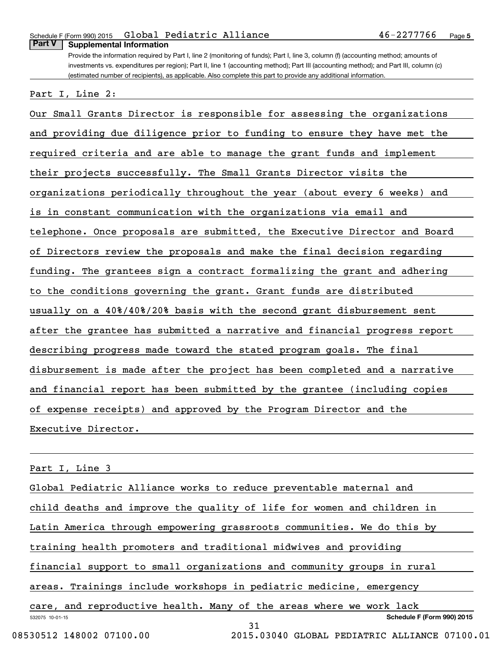#### Schedule F (Form 990) 2015 Global Pediatric Alliance 46-2277766 p<sub>age</sub> **Part V Supplemental Information**

Provide the information required by Part I, line 2 (monitoring of funds); Part I, line 3, column (f) (accounting method; amounts of investments vs. expenditures per region); Part II, line 1 (accounting method); Part III (accounting method); and Part III, column (c) (estimated number of recipients), as applicable. Also complete this part to provide any additional information.

Part I, Line 2:

Our Small Grants Director is responsible for assessing the organizations and providing due diligence prior to funding to ensure they have met the required criteria and are able to manage the grant funds and implement their projects successfully. The Small Grants Director visits the organizations periodically throughout the year (about every 6 weeks) and is in constant communication with the organizations via email and telephone. Once proposals are submitted, the Executive Director and Board of Directors review the proposals and make the final decision regarding funding. The grantees sign a contract formalizing the grant and adhering to the conditions governing the grant. Grant funds are distributed usually on a 40%/40%/20% basis with the second grant disbursement sent after the grantee has submitted a narrative and financial progress report describing progress made toward the stated program goals. The final disbursement is made after the project has been completed and a narrative and financial report has been submitted by the grantee (including copies of expense receipts) and approved by the Program Director and the Executive Director.

Part I, Line 3

|                          | Global Pediatric Alliance works to reduce preventable maternal and     |  |  |  |  |  |
|--------------------------|------------------------------------------------------------------------|--|--|--|--|--|
|                          | child deaths and improve the quality of life for women and children in |  |  |  |  |  |
|                          | Latin America through empowering grassroots communities. We do this by |  |  |  |  |  |
|                          | training health promoters and traditional midwives and providing       |  |  |  |  |  |
|                          | financial support to small organizations and community groups in rural |  |  |  |  |  |
|                          | areas. Trainings include workshops in pediatric medicine, emergency    |  |  |  |  |  |
|                          | care, and reproductive health. Many of the areas where we work lack    |  |  |  |  |  |
| 532075 10-01-15          | <b>Schedule F (Form 990) 2015</b>                                      |  |  |  |  |  |
| 08530512 148002 07100.00 | 31<br>2015.03040 GLOBAL PEDIATRIC ALLIANCE 07100.01                    |  |  |  |  |  |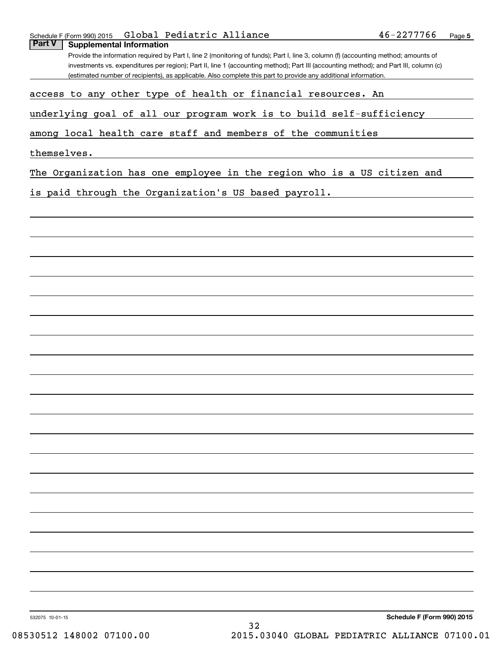|  |                                   | Schedule F (Form 990) 2015 $\,$ <code>Global Pediatric Alliance</code> |  | 46-2277766 | Page |
|--|-----------------------------------|------------------------------------------------------------------------|--|------------|------|
|  | Part V   Supplemental Information |                                                                        |  |            |      |

Provide the information required by Part I, line 2 (monitoring of funds); Part I, line 3, column (f) (accounting method; amounts of investments vs. expenditures per region); Part II, line 1 (accounting method); Part III (accounting method); and Part III, column (c) (estimated number of recipients), as applicable. Also complete this part to provide any additional information.

access to any other type of health or financial resources. An

underlying goal of all our program work is to build self-sufficiency

among local health care staff and members of the communities

themselves.

The Organization has one employee in the region who is a US citizen and

is paid through the Organization's US based payroll.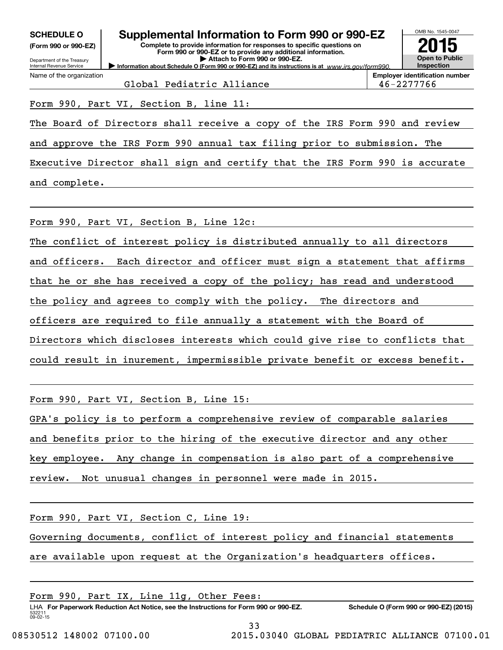| ---------            |  |  |
|----------------------|--|--|
| (Form 990 or 990-EZ) |  |  |

Department of the Treasury Internal Revenue Service

Name of the organization

# **SCHEDULE O Supplemental Information to Form 990 or 990-EZ**

**Information about Schedule O (Form 990 or 990-EZ) and its instructions is at**  $www.irs.gov/form990.$ **Complete to provide information for responses to specific questions on Form 990 or 990-EZ or to provide any additional information. | Attach to Form 990 or 990-EZ.**



**Employer identification number** Global Pediatric Alliance  $\vert$  46-2277766

Form 990, Part VI, Section B, line 11:

The Board of Directors shall receive a copy of the IRS Form 990 and review

and approve the IRS Form 990 annual tax filing prior to submission. The

Executive Director shall sign and certify that the IRS Form 990 is accurate and complete.

Form 990, Part VI, Section B, Line 12c:

The conflict of interest policy is distributed annually to all directors and officers. Each director and officer must sign a statement that affirms that he or she has received a copy of the policy; has read and understood the policy and agrees to comply with the policy. The directors and officers are required to file annually a statement with the Board of Directors which discloses interests which could give rise to conflicts that could result in inurement, impermissible private benefit or excess benefit.

Form 990, Part VI, Section B, Line 15:

GPA's policy is to perform a comprehensive review of comparable salaries

and benefits prior to the hiring of the executive director and any other

key employee. Any change in compensation is also part of a comprehensive

review. Not unusual changes in personnel were made in 2015.

Form 990, Part VI, Section C, Line 19:

Governing documents, conflict of interest policy and financial statements

are available upon request at the Organization's headquarters offices.

532211 09-02-15 LHA For Paperwork Reduction Act Notice, see the Instructions for Form 990 or 990-EZ. Schedule O (Form 990 or 990-EZ) (2015) Form 990, Part IX, Line 11g, Other Fees: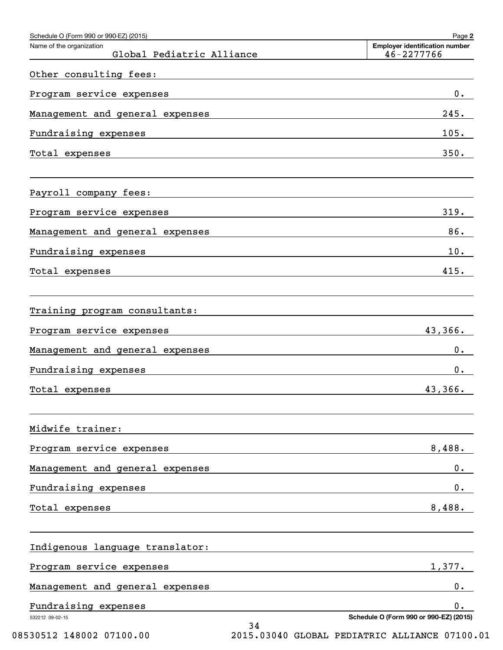| Schedule O (Form 990 or 990-EZ) (2015)                |                                                                                                                                                                                                                               | Page 2                                              |
|-------------------------------------------------------|-------------------------------------------------------------------------------------------------------------------------------------------------------------------------------------------------------------------------------|-----------------------------------------------------|
| Name of the organization<br>Global Pediatric Alliance |                                                                                                                                                                                                                               | <b>Employer identification number</b><br>46-2277766 |
| Other consulting fees:                                |                                                                                                                                                                                                                               |                                                     |
| Program service expenses                              | the control of the control of the control of the control of the control of the control of                                                                                                                                     | 0.                                                  |
| Management and general expenses                       |                                                                                                                                                                                                                               | 245.                                                |
| Fundraising expenses                                  | <u> 1980 - Andrea Andrew Maria (h. 1980).</u>                                                                                                                                                                                 | 105.                                                |
| Total expenses                                        | the control of the control of the control of the control of the control of the control of the control of the control of the control of the control of the control of the control of the control of the control of the control | 350.                                                |
| Payroll company fees:                                 |                                                                                                                                                                                                                               |                                                     |
| Program service expenses                              | the control of the control of the control of the control of the control of the control of the control of the control of the control of the control of the control of the control of the control of the control of the control | 319.                                                |
| Management and general expenses                       |                                                                                                                                                                                                                               | 86.                                                 |
| Fundraising expenses                                  | <u> 1989 - John Stein, Amerikaansk politiker (* 1989)</u>                                                                                                                                                                     | 10.                                                 |
| Total expenses                                        | <u> 1989 - Johann Stein, mars an deutscher Stein und der Stein und der Stein und der Stein und der Stein und der</u>                                                                                                          | 415.                                                |
| Training program consultants:                         |                                                                                                                                                                                                                               |                                                     |
| Program service expenses                              |                                                                                                                                                                                                                               | 43,366.                                             |
| Management and general expenses                       |                                                                                                                                                                                                                               | $0$ .                                               |
| Fundraising expenses                                  |                                                                                                                                                                                                                               | $0$ .                                               |
| Total expenses                                        |                                                                                                                                                                                                                               | 43,366.                                             |
| Midwife trainer:                                      |                                                                                                                                                                                                                               |                                                     |
| Program service expenses                              |                                                                                                                                                                                                                               | 8,488.                                              |
| Management and general expenses                       |                                                                                                                                                                                                                               | 0.                                                  |
| Fundraising expenses                                  |                                                                                                                                                                                                                               | $0$ .                                               |
| Total expenses                                        |                                                                                                                                                                                                                               | 8,488.                                              |
| Indigenous language translator:                       |                                                                                                                                                                                                                               |                                                     |
| Program service expenses                              |                                                                                                                                                                                                                               | 1,377.                                              |
| Management and general expenses                       |                                                                                                                                                                                                                               | $0$ .                                               |
| Fundraising expenses                                  |                                                                                                                                                                                                                               | 0.                                                  |
| 532212 09-02-15                                       | 34                                                                                                                                                                                                                            | Schedule O (Form 990 or 990-EZ) (2015)              |

08530512 148002 07100.00 2015.03040 GLOBAL PEDIATRIC ALLIANCE 07100.01